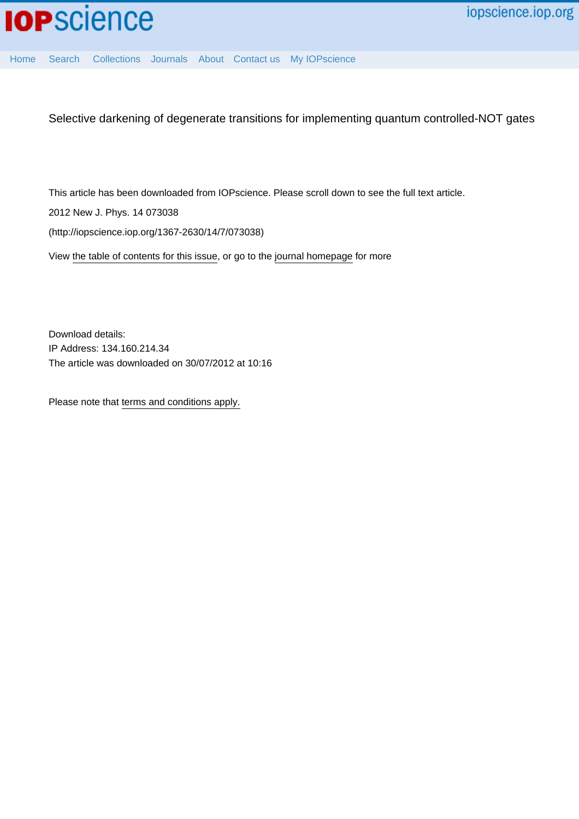

[Home](http://iopscience.iop.org/) [Search](http://iopscience.iop.org/search) [Collections](http://iopscience.iop.org/collections) [Journals](http://iopscience.iop.org/journals) [About](http://iopscience.iop.org/page/aboutioppublishing) [Contact us](http://iopscience.iop.org/contact) [My IOPscience](http://iopscience.iop.org/myiopscience)

Selective darkening of degenerate transitions for implementing quantum controlled-NOT gates

This article has been downloaded from IOPscience. Please scroll down to see the full text article.

2012 New J. Phys. 14 073038

(http://iopscience.iop.org/1367-2630/14/7/073038)

View [the table of contents for this issue](http://iopscience.iop.org/1367-2630/14/7), or go to the [journal homepage](http://iopscience.iop.org/1367-2630) for more

Download details: IP Address: 134.160.214.34 The article was downloaded on 30/07/2012 at 10:16

Please note that [terms and conditions apply.](http://iopscience.iop.org/page/terms)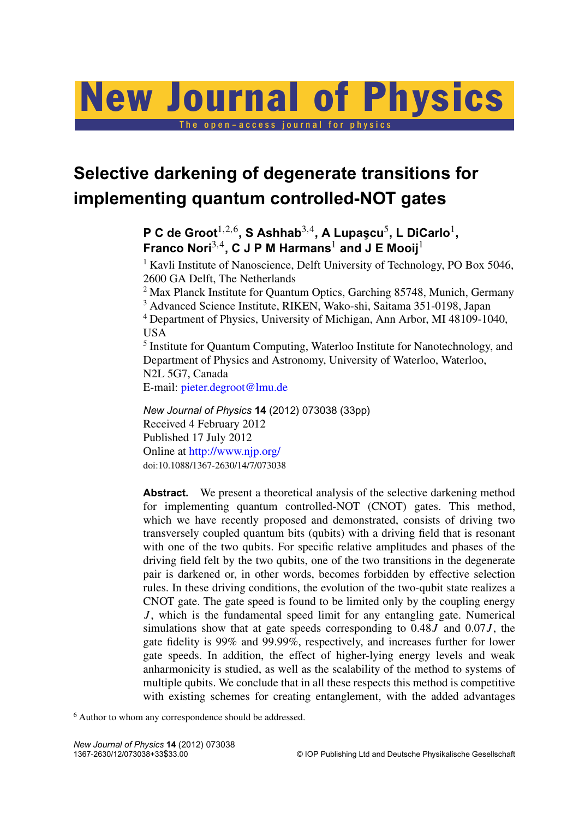# New Journal of Physics

The open-access journal for physic

# **Selective darkening of degenerate transitions for implementing quantum controlled-NOT gates**

**P C de Groot** $^{1,2,6}$ **, S Ashhab** $^{3,4}$ **, A Lupaşcu** $^5$ **, L DiCarlo** $^1$ **, Franco Nori**3,<sup>4</sup> **, C J P M Harmans**<sup>1</sup> **and J E Mooij**<sup>1</sup>

<sup>1</sup> Kavli Institute of Nanoscience, Delft University of Technology, PO Box 5046, 2600 GA Delft, The Netherlands

<sup>2</sup> Max Planck Institute for Quantum Optics, Garching 85748, Munich, Germany

<sup>3</sup> Advanced Science Institute, RIKEN, Wako-shi, Saitama 351-0198, Japan

<sup>4</sup> Department of Physics, University of Michigan, Ann Arbor, MI 48109-1040, USA

<sup>5</sup> Institute for Quantum Computing, Waterloo Institute for Nanotechnology, and Department of Physics and Astronomy, University of Waterloo, Waterloo, N2L 5G7, Canada

E-mail: [pieter.degroot@lmu.de](mailto:pieter.degroot@lmu.de)

*New Journal of Physics* **14** (2012) 073038 (33pp) Received 4 February 2012 Published 17 July 2012 Online at <http://www.njp.org/> doi:10.1088/1367-2630/14/7/073038

Abstract. We present a theoretical analysis of the selective darkening method for implementing quantum controlled-NOT (CNOT) gates. This method, which we have recently proposed and demonstrated, consists of driving two transversely coupled quantum bits (qubits) with a driving field that is resonant with one of the two qubits. For specific relative amplitudes and phases of the driving field felt by the two qubits, one of the two transitions in the degenerate pair is darkened or, in other words, becomes forbidden by effective selection rules. In these driving conditions, the evolution of the two-qubit state realizes a CNOT gate. The gate speed is found to be limited only by the coupling energy *J*, which is the fundamental speed limit for any entangling gate. Numerical simulations show that at gate speeds corresponding to 0.48*J* and 0.07*J* , the gate fidelity is 99% and 99.99%, respectively, and increases further for lower gate speeds. In addition, the effect of higher-lying energy levels and weak anharmonicity is studied, as well as the scalability of the method to systems of multiple qubits. We conclude that in all these respects this method is competitive with existing schemes for creating entanglement, with the added advantages

<sup>6</sup> Author to whom any correspondence should be addressed.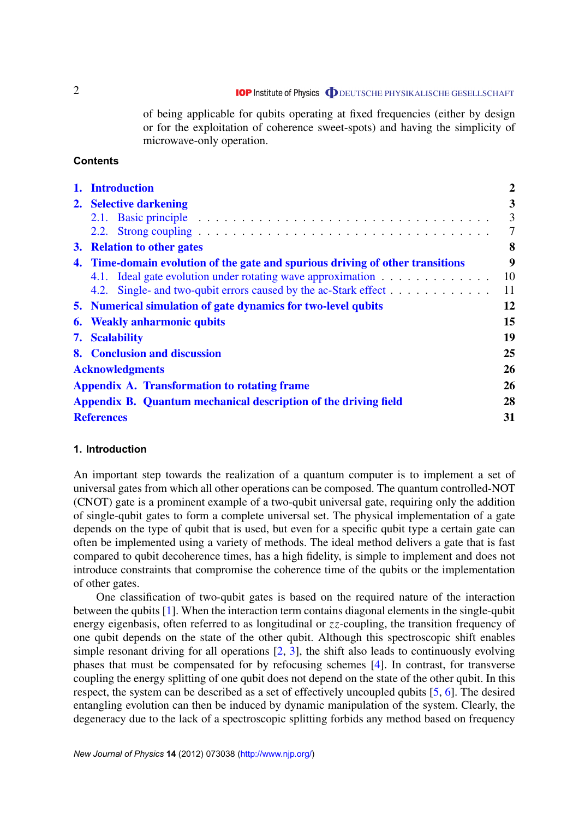of being applicable for qubits operating at fixed frequencies (either by design or for the exploitation of coherence sweet-spots) and having the simplicity of microwave-only operation.

# **Contents**

| 1. Introduction                                                                | $\overline{2}$ |
|--------------------------------------------------------------------------------|----------------|
| 2. Selective darkening                                                         | 3              |
|                                                                                | 3              |
|                                                                                | 7              |
| 3. Relation to other gates                                                     | 8              |
| 4. Time-domain evolution of the gate and spurious driving of other transitions | 9              |
| 4.1. Ideal gate evolution under rotating wave approximation                    | 10             |
| 4.2. Single- and two-qubit errors caused by the ac-Stark effect                | 11             |
| 5. Numerical simulation of gate dynamics for two-level qubits                  | 12             |
| <b>6.</b> Weakly anharmonic qubits                                             | 15             |
| 7. Scalability                                                                 | 19             |
| 8. Conclusion and discussion                                                   | 25             |
| <b>Acknowledgments</b>                                                         | 26             |
| Appendix A. Transformation to rotating frame                                   | 26             |
| Appendix B. Quantum mechanical description of the driving field                | 28             |
| <b>References</b>                                                              | 31             |

# **1. Introduction**

An important step towards the realization of a quantum computer is to implement a set of universal gates from which all other operations can be composed. The quantum controlled-NOT (CNOT) gate is a prominent example of a two-qubit universal gate, requiring only the addition of single-qubit gates to form a complete universal set. The physical implementation of a gate depends on the type of qubit that is used, but even for a specific qubit type a certain gate can often be implemented using a variety of methods. The ideal method delivers a gate that is fast compared to qubit decoherence times, has a high fidelity, is simple to implement and does not introduce constraints that compromise the coherence time of the qubits or the implementation of other gates.

One classification of two-qubit gates is based on the required nature of the interaction between the qubits [\[1\]](#page-31-0). When the interaction term contains diagonal elements in the single-qubit energy eigenbasis, often referred to as longitudinal or *zz*-coupling, the transition frequency of one qubit depends on the state of the other qubit. Although this spectroscopic shift enables simple resonant driving for all operations  $[2, 3]$  $[2, 3]$  $[2, 3]$ , the shift also leads to continuously evolving phases that must be compensated for by refocusing schemes [\[4\]](#page-31-0). In contrast, for transverse coupling the energy splitting of one qubit does not depend on the state of the other qubit. In this respect, the system can be described as a set of effectively uncoupled qubits [\[5,](#page-31-0) [6\]](#page-31-0). The desired entangling evolution can then be induced by dynamic manipulation of the system. Clearly, the degeneracy due to the lack of a spectroscopic splitting forbids any method based on frequency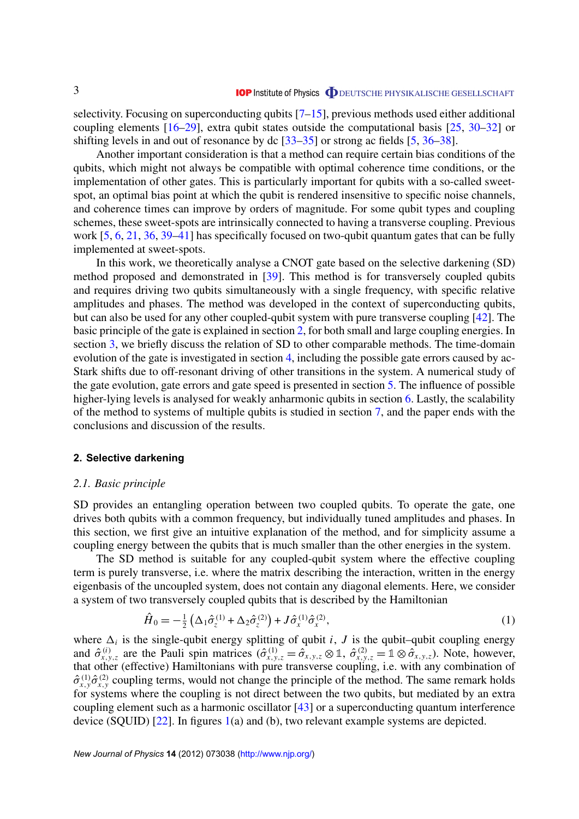<span id="page-3-0"></span>selectivity. Focusing on superconducting qubits [\[7–15\]](#page-31-0), previous methods used either additional coupling elements  $[16–29]$  $[16–29]$ , extra qubit states outside the computational basis  $[25, 30–32]$  $[25, 30–32]$  $[25, 30–32]$  or shifting levels in and out of resonance by dc [\[33–35\]](#page-32-0) or strong ac fields [\[5,](#page-31-0) [36–38\]](#page-32-0).

Another important consideration is that a method can require certain bias conditions of the qubits, which might not always be compatible with optimal coherence time conditions, or the implementation of other gates. This is particularly important for qubits with a so-called sweetspot, an optimal bias point at which the qubit is rendered insensitive to specific noise channels, and coherence times can improve by orders of magnitude. For some qubit types and coupling schemes, these sweet-spots are intrinsically connected to having a transverse coupling. Previous work  $[5, 6, 21, 36, 39-41]$  $[5, 6, 21, 36, 39-41]$  $[5, 6, 21, 36, 39-41]$  $[5, 6, 21, 36, 39-41]$  $[5, 6, 21, 36, 39-41]$  $[5, 6, 21, 36, 39-41]$  $[5, 6, 21, 36, 39-41]$  $[5, 6, 21, 36, 39-41]$  has specifically focused on two-qubit quantum gates that can be fully implemented at sweet-spots.

In this work, we theoretically analyse a CNOT gate based on the selective darkening (SD) method proposed and demonstrated in [\[39\]](#page-32-0). This method is for transversely coupled qubits and requires driving two qubits simultaneously with a single frequency, with specific relative amplitudes and phases. The method was developed in the context of superconducting qubits, but can also be used for any other coupled-qubit system with pure transverse coupling [\[42\]](#page-32-0). The basic principle of the gate is explained in section 2, for both small and large coupling energies. In section [3,](#page-8-0) we briefly discuss the relation of SD to other comparable methods. The time-domain evolution of the gate is investigated in section [4,](#page-9-0) including the possible gate errors caused by ac-Stark shifts due to off-resonant driving of other transitions in the system. A numerical study of the gate evolution, gate errors and gate speed is presented in section [5.](#page-12-0) The influence of possible higher-lying levels is analysed for weakly anharmonic qubits in section [6.](#page-15-0) Lastly, the scalability of the method to systems of multiple qubits is studied in section [7,](#page-19-0) and the paper ends with the conclusions and discussion of the results.

#### **2. Selective darkening**

# *2.1. Basic principle*

SD provides an entangling operation between two coupled qubits. To operate the gate, one drives both qubits with a common frequency, but individually tuned amplitudes and phases. In this section, we first give an intuitive explanation of the method, and for simplicity assume a coupling energy between the qubits that is much smaller than the other energies in the system.

The SD method is suitable for any coupled-qubit system where the effective coupling term is purely transverse, i.e. where the matrix describing the interaction, written in the energy eigenbasis of the uncoupled system, does not contain any diagonal elements. Here, we consider a system of two transversely coupled qubits that is described by the Hamiltonian

$$
\hat{H}_0 = -\frac{1}{2} \left( \Delta_1 \hat{\sigma}_z^{(1)} + \Delta_2 \hat{\sigma}_z^{(2)} \right) + J \hat{\sigma}_x^{(1)} \hat{\sigma}_x^{(2)},\tag{1}
$$

where  $\Delta_i$  is the single-qubit energy splitting of qubit *i*, *J* is the qubit–qubit coupling energy and  $\hat{\sigma}_{x,y,z}^{(i)}$  are the Pauli spin matrices  $(\hat{\sigma}_{x,y,z}^{(1)} = \hat{\sigma}_{x,y,z} \otimes \mathbb{1}, \hat{\sigma}_{x,y,z}^{(2)} = \mathbb{1} \otimes \hat{\sigma}_{x,y,z}^{\mathbb{1}})$ . Note, however, that other (effective) Hamiltonians with pure transverse coupling, i.e. with any combination of  $\hat{\sigma}_{x,y}^{(1)}\hat{\sigma}_{x,y}^{(2)}$  coupling terms, would not change the principle of the method. The same remark holds for systems where the coupling is not direct between the two qubits, but mediated by an extra coupling element such as a harmonic oscillator [\[43\]](#page-32-0) or a superconducting quantum interference device (SQUID)  $[22]$ . In figures [1\(](#page-4-0)a) and (b), two relevant example systems are depicted.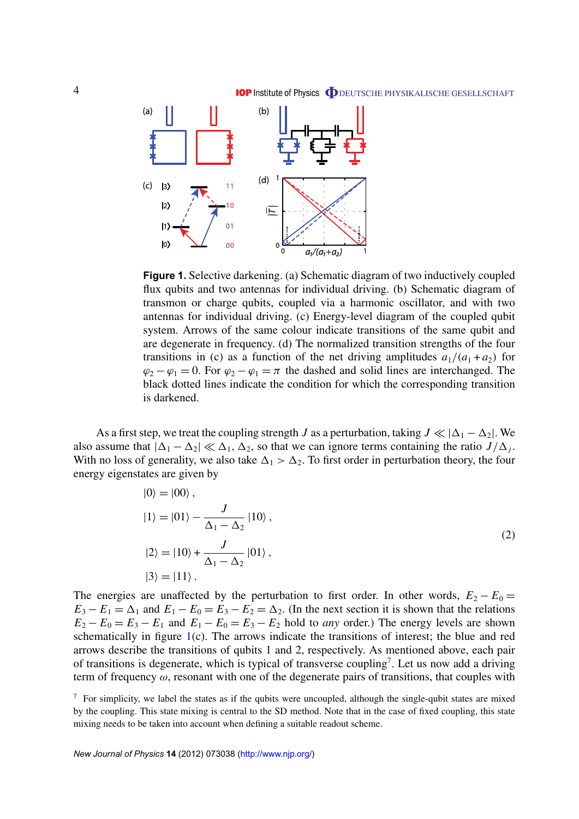<span id="page-4-0"></span>

**Figure 1.** Selective darkening. (a) Schematic diagram of two inductively coupled flux qubits and two antennas for individual driving. (b) Schematic diagram of transmon or charge qubits, coupled via a harmonic oscillator, and with two antennas for individual driving. (c) Energy-level diagram of the coupled qubit system. Arrows of the same colour indicate transitions of the same qubit and are degenerate in frequency. (d) The normalized transition strengths of the four transitions in (c) as a function of the net driving amplitudes  $a_1/(a_1 + a_2)$  for  $\varphi_2 - \varphi_1 = 0$ . For  $\varphi_2 - \varphi_1 = \pi$  the dashed and solid lines are interchanged. The black dotted lines indicate the condition for which the corresponding transition is darkened.

As a first step, we treat the coupling strength *J* as a perturbation, taking  $J \ll |\Delta_1 - \Delta_2|$ . We also assume that  $|\Delta_1 - \Delta_2| \ll \Delta_1$ ,  $\Delta_2$ , so that we can ignore terms containing the ratio  $J/\Delta_j$ . With no loss of generality, we also take  $\Delta_1 > \Delta_2$ . To first order in perturbation theory, the four energy eigenstates are given by

$$
|0\rangle = |00\rangle ,
$$
  
\n
$$
|1\rangle = |01\rangle - \frac{J}{\Delta_1 - \Delta_2} |10\rangle ,
$$
  
\n
$$
|2\rangle = |10\rangle + \frac{J}{\Delta_1 - \Delta_2} |01\rangle ,
$$
  
\n
$$
|3\rangle = |11\rangle .
$$
 (2)

The energies are unaffected by the perturbation to first order. In other words,  $E_2 - E_0 =$  $E_3 - E_1 = \Delta_1$  and  $E_1 - E_0 = E_3 - E_2 = \Delta_2$ . (In the next section it is shown that the relations  $E_2 - E_0 = E_3 - E_1$  and  $E_1 - E_0 = E_3 - E_2$  hold to *any* order.) The energy levels are shown schematically in figure 1(c). The arrows indicate the transitions of interest; the blue and red arrows describe the transitions of qubits 1 and 2, respectively. As mentioned above, each pair of transitions is degenerate, which is typical of transverse coupling<sup>7</sup>. Let us now add a driving term of frequency  $\omega$ , resonant with one of the degenerate pairs of transitions, that couples with

 $\frac{7}{10}$  For simplicity, we label the states as if the qubits were uncoupled, although the single-qubit states are mixed by the coupling. This state mixing is central to the SD method. Note that in the case of fixed coupling, this state mixing needs to be taken into account when defining a suitable readout scheme.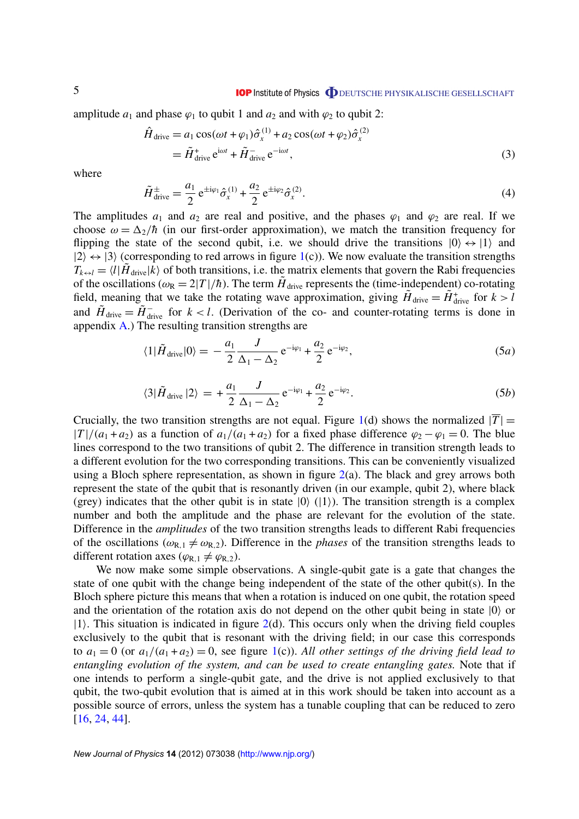<span id="page-5-0"></span>amplitude  $a_1$  and phase  $\varphi_1$  to qubit 1 and  $a_2$  and with  $\varphi_2$  to qubit 2:

$$
\hat{H}_{\text{drive}} = a_1 \cos(\omega t + \varphi_1) \hat{\sigma}_x^{(1)} + a_2 \cos(\omega t + \varphi_2) \hat{\sigma}_x^{(2)} \n= \tilde{H}_{\text{drive}}^+ e^{i\omega t} + \tilde{H}_{\text{drive}}^- e^{-i\omega t},
$$
\n(3)

where

$$
\tilde{H}_{\text{drive}}^{\pm} = \frac{a_1}{2} e^{\pm i\varphi_1} \hat{\sigma}_x^{(1)} + \frac{a_2}{2} e^{\pm i\varphi_2} \hat{\sigma}_x^{(2)}.
$$
\n(4)

The amplitudes  $a_1$  and  $a_2$  are real and positive, and the phases  $\varphi_1$  and  $\varphi_2$  are real. If we choose  $\omega = \Delta_2/\hbar$  (in our first-order approximation), we match the transition frequency for flipping the state of the second qubit, i.e. we should drive the transitions  $|0\rangle \leftrightarrow |1\rangle$  and  $|2\rangle \leftrightarrow |3\rangle$  (corresponding to red arrows in figure [1\(](#page-4-0)c)). We now evaluate the transition strengths  $T_{k \leftrightarrow l} = \langle l | \tilde{H}_{\text{drive}} | k \rangle$  of both transitions, i.e. the matrix elements that govern the Rabi frequencies of the oscillations ( $\omega_R = 2|T|/\hbar$ ). The term  $\tilde{H}_{\text{drive}}$  represents the (time-independent) co-rotating field, meaning that we take the rotating wave approximation, giving  $H_{\text{drive}} = H_{\text{drive}}^+$  for  $k > l$ and  $H_{\text{drive}} = H_{\text{drive}}$  for  $k < l$ . (Derivation of the co- and counter-rotating terms is done in appendix [A.](#page-26-0)) The resulting transition strengths are

$$
\langle 1|\tilde{H}_{\text{drive}}|0\rangle = -\frac{a_1}{2} \frac{J}{\Delta_1 - \Delta_2} e^{-i\varphi_1} + \frac{a_2}{2} e^{-i\varphi_2},\tag{5a}
$$

$$
\langle 3|\tilde{H}_{\text{drive}}|2\rangle = +\frac{a_1}{2}\frac{J}{\Delta_1 - \Delta_2}e^{-i\varphi_1} + \frac{a_2}{2}e^{-i\varphi_2}.
$$
 (5b)

Crucially, the two transition strengths are not equal. Figure [1\(](#page-4-0)d) shows the normalized  $|\overline{T}|$  =  $|T|/(a_1 + a_2)$  as a function of  $a_1/(a_1 + a_2)$  for a fixed phase difference  $\varphi_2 - \varphi_1 = 0$ . The blue lines correspond to the two transitions of qubit 2. The difference in transition strength leads to a different evolution for the two corresponding transitions. This can be conveniently visualized using a Bloch sphere representation, as shown in figure  $2(a)$  $2(a)$ . The black and grey arrows both represent the state of the qubit that is resonantly driven (in our example, qubit 2), where black (grey) indicates that the other qubit is in state  $|0\rangle$  ( $|1\rangle$ ). The transition strength is a complex number and both the amplitude and the phase are relevant for the evolution of the state. Difference in the *amplitudes* of the two transition strengths leads to different Rabi frequencies of the oscillations ( $\omega_{R,1} \neq \omega_{R,2}$ ). Difference in the *phases* of the transition strengths leads to different rotation axes ( $\varphi_{R,1} \neq \varphi_{R,2}$ ).

We now make some simple observations. A single-qubit gate is a gate that changes the state of one qubit with the change being independent of the state of the other qubit(s). In the Bloch sphere picture this means that when a rotation is induced on one qubit, the rotation speed and the orientation of the rotation axis do not depend on the other qubit being in state  $|0\rangle$  or  $|1\rangle$ . This situation is indicated in figure  $2(d)$  $2(d)$ . This occurs only when the driving field couples exclusively to the qubit that is resonant with the driving field; in our case this corresponds to  $a_1 = 0$  (or  $a_1/(a_1 + a_2) = 0$ , see figure [1\(](#page-4-0)c)). All other settings of the driving field lead to *entangling evolution of the system, and can be used to create entangling gates.* Note that if one intends to perform a single-qubit gate, and the drive is not applied exclusively to that qubit, the two-qubit evolution that is aimed at in this work should be taken into account as a possible source of errors, unless the system has a tunable coupling that can be reduced to zero [\[16,](#page-31-0) [24,](#page-32-0) [44\]](#page-32-0).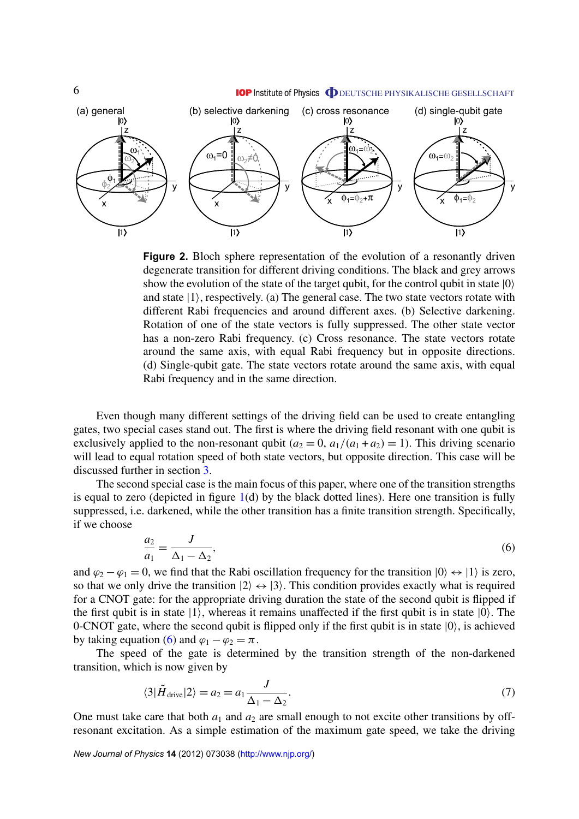

<span id="page-6-0"></span>

**Figure 2.** Bloch sphere representation of the evolution of a resonantly driven degenerate transition for different driving conditions. The black and grey arrows show the evolution of the state of the target qubit, for the control qubit in state  $|0\rangle$ and state  $|1\rangle$ , respectively. (a) The general case. The two state vectors rotate with different Rabi frequencies and around different axes. (b) Selective darkening. Rotation of one of the state vectors is fully suppressed. The other state vector has a non-zero Rabi frequency. (c) Cross resonance. The state vectors rotate around the same axis, with equal Rabi frequency but in opposite directions. (d) Single-qubit gate. The state vectors rotate around the same axis, with equal Rabi frequency and in the same direction.

Even though many different settings of the driving field can be used to create entangling gates, two special cases stand out. The first is where the driving field resonant with one qubit is exclusively applied to the non-resonant qubit  $(a_2 = 0, a_1/(a_1 + a_2) = 1)$ . This driving scenario will lead to equal rotation speed of both state vectors, but opposite direction. This case will be discussed further in section [3.](#page-8-0)

The second special case is the main focus of this paper, where one of the transition strengths is equal to zero (depicted in figure  $1(d)$  $1(d)$  by the black dotted lines). Here one transition is fully suppressed, i.e. darkened, while the other transition has a finite transition strength. Specifically, if we choose

$$
\frac{a_2}{a_1} = \frac{J}{\Delta_1 - \Delta_2},\tag{6}
$$

and  $\varphi_2 - \varphi_1 = 0$ , we find that the Rabi oscillation frequency for the transition  $|0\rangle \leftrightarrow |1\rangle$  is zero, so that we only drive the transition  $|2\rangle \leftrightarrow |3\rangle$ . This condition provides exactly what is required for a CNOT gate: for the appropriate driving duration the state of the second qubit is flipped if the first qubit is in state  $|1\rangle$ , whereas it remains unaffected if the first qubit is in state  $|0\rangle$ . The 0-CNOT gate, where the second qubit is flipped only if the first qubit is in state  $|0\rangle$ , is achieved by taking equation (6) and  $\varphi_1 - \varphi_2 = \pi$ .

The speed of the gate is determined by the transition strength of the non-darkened transition, which is now given by

$$
\langle 3|\tilde{H}_{\text{drive}}|2\rangle = a_2 = a_1 \frac{J}{\Delta_1 - \Delta_2}.\tag{7}
$$

One must take care that both  $a_1$  and  $a_2$  are small enough to not excite other transitions by offresonant excitation. As a simple estimation of the maximum gate speed, we take the driving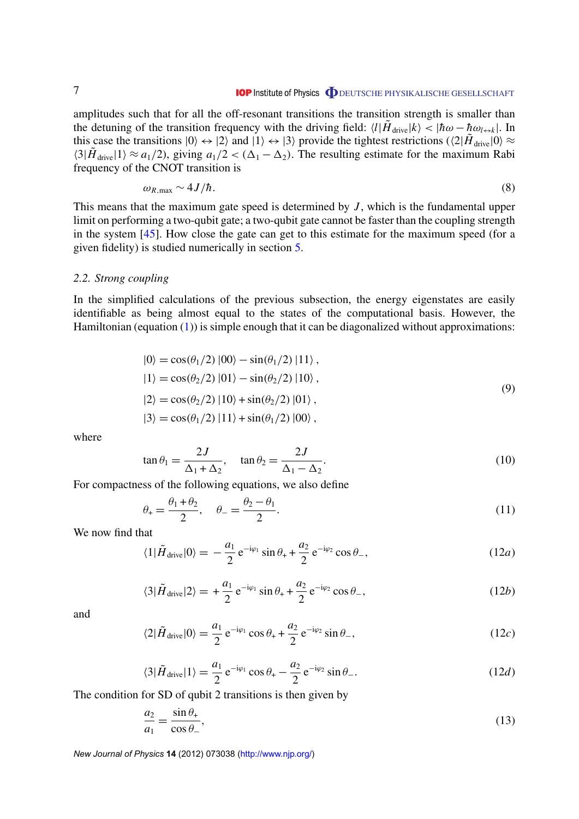<span id="page-7-0"></span>amplitudes such that for all the off-resonant transitions the transition strength is smaller than the detuning of the transition frequency with the driving field:  $\langle l|\tilde{H}_{\text{drive}}|k\rangle < |\hbar\omega - \hbar\omega_{l\leftrightarrow k}|$ . In this case the transitions  $|0\rangle \leftrightarrow |2\rangle$  and  $|1\rangle \leftrightarrow |3\rangle$  provide the tightest restrictions  $(\langle 2|\tilde{H}_{\text{drive}}|0\rangle \approx$  $\langle 3|\tilde{H}_{\text{drive}}|1\rangle \approx a_1/2$ , giving  $a_1/2 < (\Delta_1 - \Delta_2)$ . The resulting estimate for the maximum Rabi frequency of the CNOT transition is

$$
\omega_{R,\max} \sim 4J/\hbar. \tag{8}
$$

This means that the maximum gate speed is determined by *J*, which is the fundamental upper limit on performing a two-qubit gate; a two-qubit gate cannot be faster than the coupling strength in the system [\[45\]](#page-32-0). How close the gate can get to this estimate for the maximum speed (for a given fidelity) is studied numerically in section [5.](#page-12-0)

#### *2.2. Strong coupling*

In the simplified calculations of the previous subsection, the energy eigenstates are easily identifiable as being almost equal to the states of the computational basis. However, the Hamiltonian (equation  $(1)$ ) is simple enough that it can be diagonalized without approximations:

$$
|0\rangle = \cos(\theta_1/2) |00\rangle - \sin(\theta_1/2) |11\rangle,
$$
  
\n
$$
|1\rangle = \cos(\theta_2/2) |01\rangle - \sin(\theta_2/2) |10\rangle,
$$
  
\n
$$
|2\rangle = \cos(\theta_2/2) |10\rangle + \sin(\theta_2/2) |01\rangle,
$$
  
\n
$$
|3\rangle = \cos(\theta_1/2) |11\rangle + \sin(\theta_1/2) |00\rangle,
$$
  
\n(9)

where

$$
\tan \theta_1 = \frac{2J}{\Delta_1 + \Delta_2}, \quad \tan \theta_2 = \frac{2J}{\Delta_1 - \Delta_2}.
$$
\n(10)

For compactness of the following equations, we also define

$$
\theta_{+} = \frac{\theta_1 + \theta_2}{2}, \quad \theta_{-} = \frac{\theta_2 - \theta_1}{2}.
$$
\n<sup>(11)</sup>

We now find that

$$
\langle 1|\tilde{H}_{\text{drive}}|0\rangle = -\frac{a_1}{2} e^{-i\varphi_1} \sin \theta_+ + \frac{a_2}{2} e^{-i\varphi_2} \cos \theta_-, \qquad (12a)
$$

$$
\langle 3|\tilde{H}_{\text{drive}}|2\rangle = +\frac{a_1}{2}e^{-i\varphi_1}\sin\theta_+ + \frac{a_2}{2}e^{-i\varphi_2}\cos\theta_-, \tag{12b}
$$

and

$$
\langle 2|\tilde{H}_{\text{drive}}|0\rangle = \frac{a_1}{2} e^{-i\varphi_1} \cos \theta_+ + \frac{a_2}{2} e^{-i\varphi_2} \sin \theta_-, \qquad (12c)
$$

$$
\langle 3|\tilde{H}_{\text{drive}}|1\rangle = \frac{a_1}{2} e^{-i\varphi_1} \cos \theta_+ - \frac{a_2}{2} e^{-i\varphi_2} \sin \theta_-. \tag{12d}
$$

The condition for SD of qubit 2 transitions is then given by

$$
\frac{a_2}{a_1} = \frac{\sin \theta_+}{\cos \theta_-},\tag{13}
$$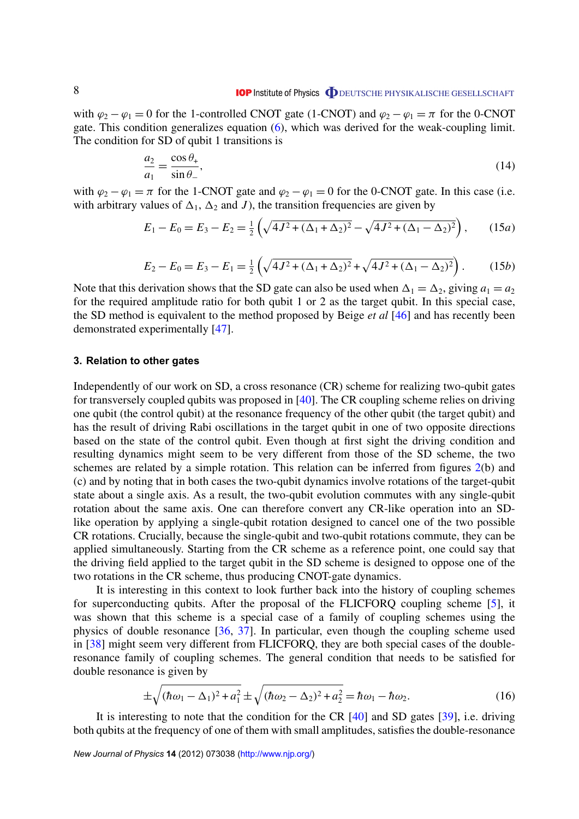<span id="page-8-0"></span>with  $\varphi_2 - \varphi_1 = 0$  for the 1-controlled CNOT gate (1-CNOT) and  $\varphi_2 - \varphi_1 = \pi$  for the 0-CNOT gate. This condition generalizes equation  $(6)$ , which was derived for the weak-coupling limit. The condition for SD of qubit 1 transitions is

$$
\frac{a_2}{a_1} = \frac{\cos \theta_+}{\sin \theta_-},\tag{14}
$$

with  $\varphi_2 - \varphi_1 = \pi$  for the 1-CNOT gate and  $\varphi_2 - \varphi_1 = 0$  for the 0-CNOT gate. In this case (i.e. with arbitrary values of  $\Delta_1$ ,  $\Delta_2$  and *J*), the transition frequencies are given by

$$
E_1 - E_0 = E_3 - E_2 = \frac{1}{2} \left( \sqrt{4J^2 + (\Delta_1 + \Delta_2)^2} - \sqrt{4J^2 + (\Delta_1 - \Delta_2)^2} \right), \qquad (15a)
$$

$$
E_2 - E_0 = E_3 - E_1 = \frac{1}{2} \left( \sqrt{4J^2 + (\Delta_1 + \Delta_2)^2} + \sqrt{4J^2 + (\Delta_1 - \Delta_2)^2} \right).
$$
 (15b)

Note that this derivation shows that the SD gate can also be used when  $\Delta_1 = \Delta_2$ , giving  $a_1 = a_2$ for the required amplitude ratio for both qubit 1 or 2 as the target qubit. In this special case, the SD method is equivalent to the method proposed by Beige *et al* [\[46\]](#page-32-0) and has recently been demonstrated experimentally [\[47\]](#page-32-0).

#### **3. Relation to other gates**

Independently of our work on SD, a cross resonance (CR) scheme for realizing two-qubit gates for transversely coupled qubits was proposed in [\[40\]](#page-32-0). The CR coupling scheme relies on driving one qubit (the control qubit) at the resonance frequency of the other qubit (the target qubit) and has the result of driving Rabi oscillations in the target qubit in one of two opposite directions based on the state of the control qubit. Even though at first sight the driving condition and resulting dynamics might seem to be very different from those of the SD scheme, the two schemes are related by a simple rotation. This relation can be inferred from figures [2\(](#page-6-0)b) and (c) and by noting that in both cases the two-qubit dynamics involve rotations of the target-qubit state about a single axis. As a result, the two-qubit evolution commutes with any single-qubit rotation about the same axis. One can therefore convert any CR-like operation into an SDlike operation by applying a single-qubit rotation designed to cancel one of the two possible CR rotations. Crucially, because the single-qubit and two-qubit rotations commute, they can be applied simultaneously. Starting from the CR scheme as a reference point, one could say that the driving field applied to the target qubit in the SD scheme is designed to oppose one of the two rotations in the CR scheme, thus producing CNOT-gate dynamics.

It is interesting in this context to look further back into the history of coupling schemes for superconducting qubits. After the proposal of the FLICFORQ coupling scheme [\[5\]](#page-31-0), it was shown that this scheme is a special case of a family of coupling schemes using the physics of double resonance [\[36,](#page-32-0) [37\]](#page-32-0). In particular, even though the coupling scheme used in [\[38\]](#page-32-0) might seem very different from FLICFORQ, they are both special cases of the doubleresonance family of coupling schemes. The general condition that needs to be satisfied for double resonance is given by

$$
\pm \sqrt{(\hbar \omega_1 - \Delta_1)^2 + a_1^2} \pm \sqrt{(\hbar \omega_2 - \Delta_2)^2 + a_2^2} = \hbar \omega_1 - \hbar \omega_2.
$$
 (16)

It is interesting to note that the condition for the CR [\[40\]](#page-32-0) and SD gates [\[39\]](#page-32-0), i.e. driving both qubits at the frequency of one of them with small amplitudes, satisfies the double-resonance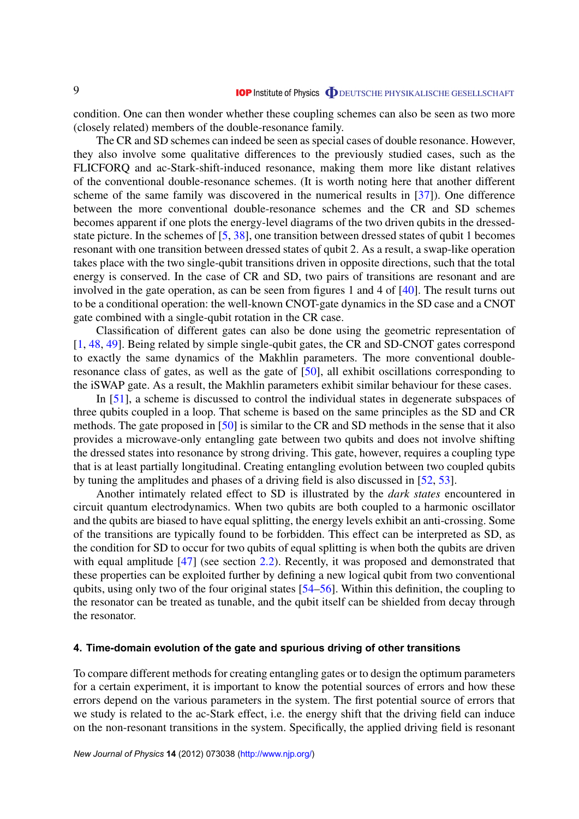<span id="page-9-0"></span>condition. One can then wonder whether these coupling schemes can also be seen as two more (closely related) members of the double-resonance family.

The CR and SD schemes can indeed be seen as special cases of double resonance. However, they also involve some qualitative differences to the previously studied cases, such as the FLICFORQ and ac-Stark-shift-induced resonance, making them more like distant relatives of the conventional double-resonance schemes. (It is worth noting here that another different scheme of the same family was discovered in the numerical results in [\[37\]](#page-32-0)). One difference between the more conventional double-resonance schemes and the CR and SD schemes becomes apparent if one plots the energy-level diagrams of the two driven qubits in the dressedstate picture. In the schemes of [\[5,](#page-31-0) [38\]](#page-32-0), one transition between dressed states of qubit 1 becomes resonant with one transition between dressed states of qubit 2. As a result, a swap-like operation takes place with the two single-qubit transitions driven in opposite directions, such that the total energy is conserved. In the case of CR and SD, two pairs of transitions are resonant and are involved in the gate operation, as can be seen from figures 1 and 4 of [\[40\]](#page-32-0). The result turns out to be a conditional operation: the well-known CNOT-gate dynamics in the SD case and a CNOT gate combined with a single-qubit rotation in the CR case.

Classification of different gates can also be done using the geometric representation of [\[1,](#page-31-0) [48,](#page-32-0) [49\]](#page-32-0). Being related by simple single-qubit gates, the CR and SD-CNOT gates correspond to exactly the same dynamics of the Makhlin parameters. The more conventional doubleresonance class of gates, as well as the gate of [\[50\]](#page-32-0), all exhibit oscillations corresponding to the iSWAP gate. As a result, the Makhlin parameters exhibit similar behaviour for these cases.

In [\[51\]](#page-32-0), a scheme is discussed to control the individual states in degenerate subspaces of three qubits coupled in a loop. That scheme is based on the same principles as the SD and CR methods. The gate proposed in [\[50\]](#page-32-0) is similar to the CR and SD methods in the sense that it also provides a microwave-only entangling gate between two qubits and does not involve shifting the dressed states into resonance by strong driving. This gate, however, requires a coupling type that is at least partially longitudinal. Creating entangling evolution between two coupled qubits by tuning the amplitudes and phases of a driving field is also discussed in [\[52,](#page-32-0) [53\]](#page-32-0).

Another intimately related effect to SD is illustrated by the *dark states* encountered in circuit quantum electrodynamics. When two qubits are both coupled to a harmonic oscillator and the qubits are biased to have equal splitting, the energy levels exhibit an anti-crossing. Some of the transitions are typically found to be forbidden. This effect can be interpreted as SD, as the condition for SD to occur for two qubits of equal splitting is when both the qubits are driven with equal amplitude [\[47\]](#page-32-0) (see section [2.2\)](#page-7-0). Recently, it was proposed and demonstrated that these properties can be exploited further by defining a new logical qubit from two conventional qubits, using only two of the four original states [\[54–56\]](#page-32-0). Within this definition, the coupling to the resonator can be treated as tunable, and the qubit itself can be shielded from decay through the resonator.

# **4. Time-domain evolution of the gate and spurious driving of other transitions**

To compare different methods for creating entangling gates or to design the optimum parameters for a certain experiment, it is important to know the potential sources of errors and how these errors depend on the various parameters in the system. The first potential source of errors that we study is related to the ac-Stark effect, i.e. the energy shift that the driving field can induce on the non-resonant transitions in the system. Specifically, the applied driving field is resonant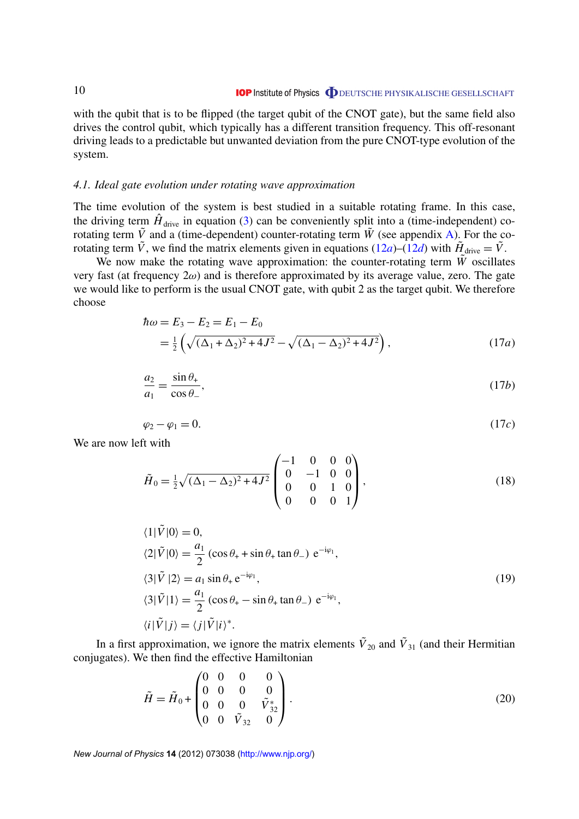<span id="page-10-0"></span>with the qubit that is to be flipped (the target qubit of the CNOT gate), but the same field also drives the control qubit, which typically has a different transition frequency. This off-resonant driving leads to a predictable but unwanted deviation from the pure CNOT-type evolution of the system.

#### *4.1. Ideal gate evolution under rotating wave approximation*

The time evolution of the system is best studied in a suitable rotating frame. In this case, the driving term  $\hat{H}_{\text{drive}}$  in equation [\(3\)](#page-5-0) can be conveniently split into a (time-independent) corotating term  $\tilde{V}$  and a (time-dependent) counter-rotating term  $\tilde{W}$  (see appendix [A\)](#page-26-0). For the corotating term  $\tilde{V}$ , we find the matrix elements given in equations  $(12a)$  $(12a)$ – $(12d)$  with  $\tilde{H}_{\text{drive}} = \tilde{V}$ .

We now make the rotating wave approximation: the counter-rotating term  $\tilde{W}$  oscillates very fast (at frequency  $2\omega$ ) and is therefore approximated by its average value, zero. The gate we would like to perform is the usual CNOT gate, with qubit 2 as the target qubit. We therefore choose

$$
\hbar \omega = E_3 - E_2 = E_1 - E_0
$$
  
=  $\frac{1}{2} \left( \sqrt{(\Delta_1 + \Delta_2)^2 + 4J^2} - \sqrt{(\Delta_1 - \Delta_2)^2 + 4J^2} \right),$  (17*a*)

$$
\frac{a_2}{a_1} = \frac{\sin \theta_+}{\cos \theta_-},\tag{17b}
$$

$$
\varphi_2 - \varphi_1 = 0. \tag{17c}
$$

We are now left with

$$
\tilde{H}_0 = \frac{1}{2}\sqrt{(\Delta_1 - \Delta_2)^2 + 4J^2} \begin{pmatrix} -1 & 0 & 0 & 0 \\ 0 & -1 & 0 & 0 \\ 0 & 0 & 1 & 0 \\ 0 & 0 & 0 & 1 \end{pmatrix},
$$
\n(18)

$$
\langle 1|\tilde{V}|0\rangle = 0,
$$
  
\n
$$
\langle 2|\tilde{V}|0\rangle = \frac{a_1}{2} (\cos \theta_+ + \sin \theta_+ \tan \theta_-) e^{-i\varphi_1},
$$
  
\n
$$
\langle 3|\tilde{V}|2\rangle = a_1 \sin \theta_+ e^{-i\varphi_1},
$$
  
\n
$$
\langle 3|\tilde{V}|1\rangle = \frac{a_1}{2} (\cos \theta_+ - \sin \theta_+ \tan \theta_-) e^{-i\varphi_1},
$$
  
\n
$$
\langle i|\tilde{V}|j\rangle = \langle j|\tilde{V}|i\rangle^*.
$$
\n(19)

In a first approximation, we ignore the matrix elements  $\tilde{V}_{20}$  and  $\tilde{V}_{31}$  (and their Hermitian conjugates). We then find the effective Hamiltonian

$$
\tilde{H} = \tilde{H}_0 + \begin{pmatrix} 0 & 0 & 0 & 0 \\ 0 & 0 & 0 & 0 \\ 0 & 0 & 0 & \tilde{V}_{32} \\ 0 & 0 & \tilde{V}_{32} & 0 \end{pmatrix}.
$$
\n(20)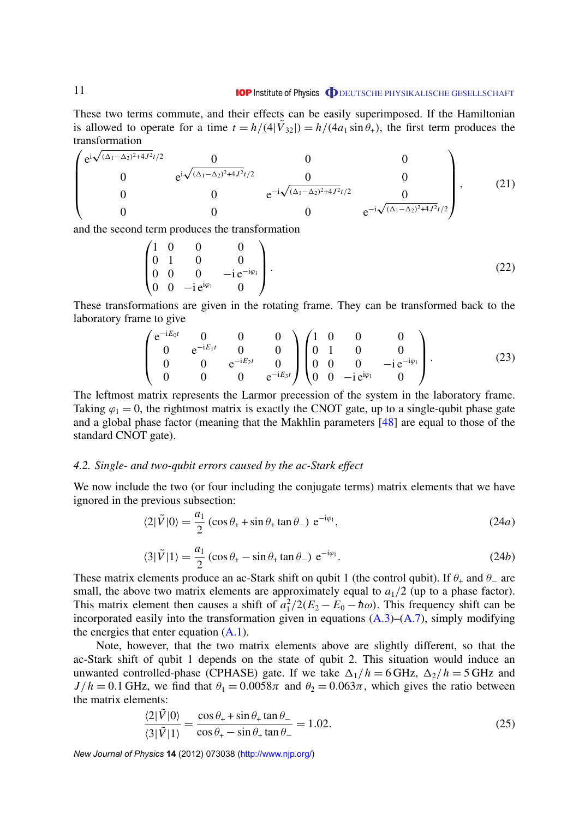#### **IOP** Institute of Physics **ODEUTSCHE PHYSIKALISCHE GESELLSCHAFT**

<span id="page-11-0"></span>These two terms commute, and their effects can be easily superimposed. If the Hamiltonian is allowed to operate for a time  $t = h/(4|\tilde{V}_{32}|) = h/(4a_1 \sin \theta_+)$ , the first term produces the transformation √

$$
\begin{pmatrix}\ne^{i\sqrt{(\Delta_1-\Delta_2)^2+4J^2t}/2} & 0 & 0 & 0 \\
0 & e^{i\sqrt{(\Delta_1-\Delta_2)^2+4J^2t}/2} & 0 & 0 \\
0 & 0 & e^{-i\sqrt{(\Delta_1-\Delta_2)^2+4J^2t}/2} & 0 \\
0 & 0 & 0 & e^{-i\sqrt{(\Delta_1-\Delta_2)^2+4J^2t}/2}\n\end{pmatrix},
$$
\n(21)

and the second term produces the transformation

$$
\begin{pmatrix}\n1 & 0 & 0 & 0 \\
0 & 1 & 0 & 0 \\
0 & 0 & 0 & -ie^{-i\varphi_1} \\
0 & 0 & -ie^{i\varphi_1} & 0\n\end{pmatrix}.
$$
\n(22)

These transformations are given in the rotating frame. They can be transformed back to the laboratory frame to give

$$
\begin{pmatrix} e^{-iE_0t} & 0 & 0 & 0 \ 0 & e^{-iE_1t} & 0 & 0 \ 0 & 0 & e^{-iE_2t} & 0 \ 0 & 0 & 0 & e^{-iE_3t} \end{pmatrix} \begin{pmatrix} 1 & 0 & 0 & 0 \ 0 & 1 & 0 & 0 \ 0 & 0 & 0 & -ie^{-i\varphi_1} \ 0 & 0 & -ie^{i\varphi_1} & 0 \end{pmatrix}.
$$
 (23)

The leftmost matrix represents the Larmor precession of the system in the laboratory frame. Taking  $\varphi_1 = 0$ , the rightmost matrix is exactly the CNOT gate, up to a single-qubit phase gate and a global phase factor (meaning that the Makhlin parameters [\[48\]](#page-32-0) are equal to those of the standard CNOT gate).

#### *4.2. Single- and two-qubit errors caused by the ac-Stark effect*

We now include the two (or four including the conjugate terms) matrix elements that we have ignored in the previous subsection:

$$
\langle 2|\tilde{V}|0\rangle = \frac{a_1}{2} \left(\cos\theta_+ + \sin\theta_+ \tan\theta_-\right) e^{-i\varphi_1},\tag{24a}
$$

$$
\langle 3|\tilde{V}|1\rangle = \frac{a_1}{2} \left(\cos\theta_+ - \sin\theta_+ \tan\theta_-\right) e^{-i\varphi_1}.
$$
 (24*b*)

These matrix elements produce an ac-Stark shift on qubit 1 (the control qubit). If  $\theta_+$  and  $\theta_-$  are small, the above two matrix elements are approximately equal to  $a_1/2$  (up to a phase factor). This matrix element then causes a shift of  $a_1^2/2(E_2 - E_0 - \hbar \omega)$ . This frequency shift can be incorporated easily into the transformation given in equations  $(A.3)$ – $(A.7)$ , simply modifying the energies that enter equation  $(A.1)$ .

Note, however, that the two matrix elements above are slightly different, so that the ac-Stark shift of qubit 1 depends on the state of qubit 2. This situation would induce an unwanted controlled-phase (CPHASE) gate. If we take  $\Delta_1/h = 6$  GHz,  $\Delta_2/h = 5$  GHz and  $J/h = 0.1$  GHz, we find that  $\theta_1 = 0.0058\pi$  and  $\theta_2 = 0.063\pi$ , which gives the ratio between the matrix elements:

$$
\frac{\langle 2|\tilde{V}|0\rangle}{\langle 3|\tilde{V}|1\rangle} = \frac{\cos\theta_{+} + \sin\theta_{+}\tan\theta_{-}}{\cos\theta_{+} - \sin\theta_{+}\tan\theta_{-}} = 1.02.
$$
\n(25)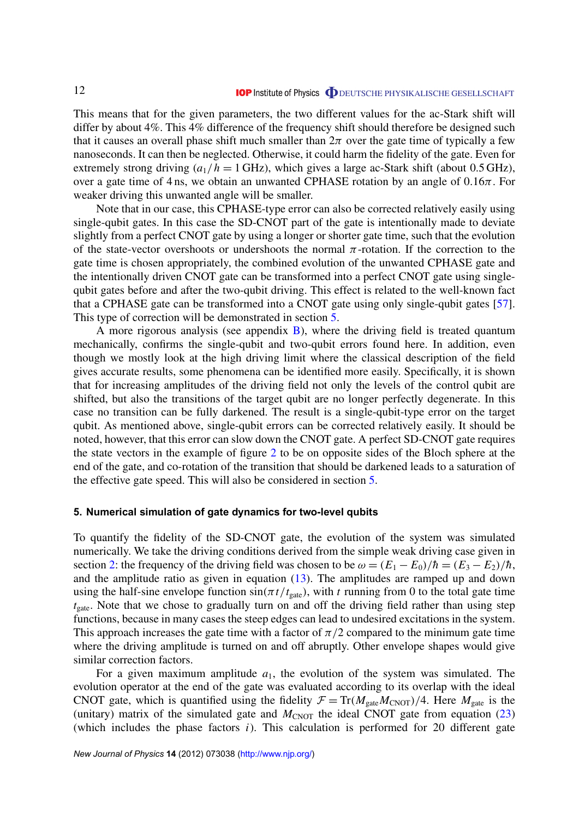<span id="page-12-0"></span>This means that for the given parameters, the two different values for the ac-Stark shift will differ by about 4%. This 4% difference of the frequency shift should therefore be designed such that it causes an overall phase shift much smaller than  $2\pi$  over the gate time of typically a few nanoseconds. It can then be neglected. Otherwise, it could harm the fidelity of the gate. Even for extremely strong driving  $(a_1/h = 1 \text{ GHz})$ , which gives a large ac-Stark shift (about 0.5 GHz), over a gate time of 4 ns, we obtain an unwanted CPHASE rotation by an angle of  $0.16\pi$ . For weaker driving this unwanted angle will be smaller.

Note that in our case, this CPHASE-type error can also be corrected relatively easily using single-qubit gates. In this case the SD-CNOT part of the gate is intentionally made to deviate slightly from a perfect CNOT gate by using a longer or shorter gate time, such that the evolution of the state-vector overshoots or undershoots the normal  $\pi$ -rotation. If the correction to the gate time is chosen appropriately, the combined evolution of the unwanted CPHASE gate and the intentionally driven CNOT gate can be transformed into a perfect CNOT gate using singlequbit gates before and after the two-qubit driving. This effect is related to the well-known fact that a CPHASE gate can be transformed into a CNOT gate using only single-qubit gates [\[57\]](#page-33-0). This type of correction will be demonstrated in section 5.

A more rigorous analysis (see appendix  $\bf{B}$ ), where the driving field is treated quantum mechanically, confirms the single-qubit and two-qubit errors found here. In addition, even though we mostly look at the high driving limit where the classical description of the field gives accurate results, some phenomena can be identified more easily. Specifically, it is shown that for increasing amplitudes of the driving field not only the levels of the control qubit are shifted, but also the transitions of the target qubit are no longer perfectly degenerate. In this case no transition can be fully darkened. The result is a single-qubit-type error on the target qubit. As mentioned above, single-qubit errors can be corrected relatively easily. It should be noted, however, that this error can slow down the CNOT gate. A perfect SD-CNOT gate requires the state vectors in the example of figure [2](#page-6-0) to be on opposite sides of the Bloch sphere at the end of the gate, and co-rotation of the transition that should be darkened leads to a saturation of the effective gate speed. This will also be considered in section 5.

#### **5. Numerical simulation of gate dynamics for two-level qubits**

To quantify the fidelity of the SD-CNOT gate, the evolution of the system was simulated numerically. We take the driving conditions derived from the simple weak driving case given in section [2:](#page-3-0) the frequency of the driving field was chosen to be  $\omega = (E_1 - E_0)/\hbar = (E_3 - E_2)/\hbar$ , and the amplitude ratio as given in equation  $(13)$ . The amplitudes are ramped up and down using the half-sine envelope function  $\sin(\pi t / t_{gate})$ , with *t* running from 0 to the total gate time *t*<sub>gate</sub>. Note that we chose to gradually turn on and off the driving field rather than using step functions, because in many cases the steep edges can lead to undesired excitations in the system. This approach increases the gate time with a factor of  $\pi/2$  compared to the minimum gate time where the driving amplitude is turned on and off abruptly. Other envelope shapes would give similar correction factors.

For a given maximum amplitude  $a_1$ , the evolution of the system was simulated. The evolution operator at the end of the gate was evaluated according to its overlap with the ideal CNOT gate, which is quantified using the fidelity  $\mathcal{F} = Tr(M_{gate}M_{CNOT})/4$ . Here  $M_{gate}$  is the (unitary) matrix of the simulated gate and  $M_{CNOT}$  the ideal CNOT gate from equation [\(23\)](#page-11-0) (which includes the phase factors *i*). This calculation is performed for 20 different gate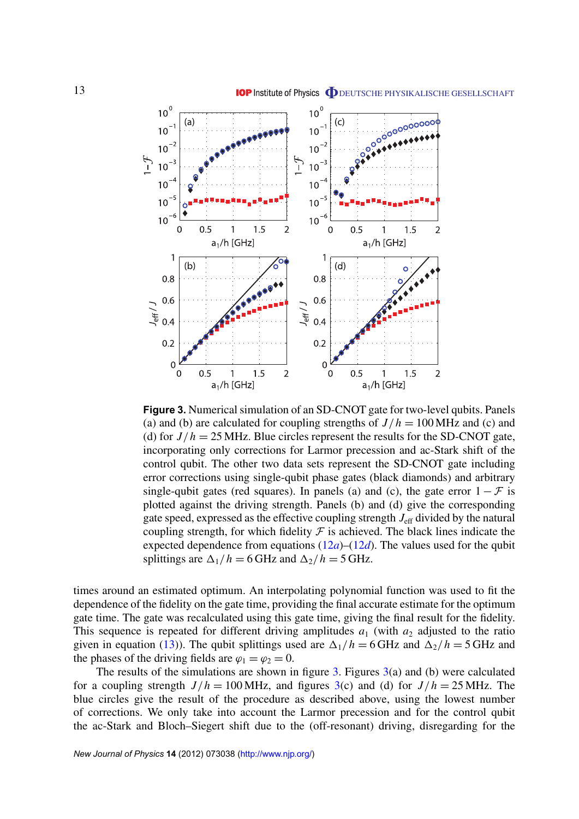<span id="page-13-0"></span>

**Figure 3.** Numerical simulation of an SD-CNOT gate for two-level qubits. Panels (a) and (b) are calculated for coupling strengths of  $J/h = 100 \text{ MHz}$  and (c) and (d) for  $J/h = 25$  MHz. Blue circles represent the results for the SD-CNOT gate, incorporating only corrections for Larmor precession and ac-Stark shift of the control qubit. The other two data sets represent the SD-CNOT gate including error corrections using single-qubit phase gates (black diamonds) and arbitrary single-qubit gates (red squares). In panels (a) and (c), the gate error  $1 - \mathcal{F}$  is plotted against the driving strength. Panels (b) and (d) give the corresponding gate speed, expressed as the effective coupling strength  $J_{\text{eff}}$  divided by the natural coupling strength, for which fidelity  $\mathcal F$  is achieved. The black lines indicate the expected dependence from equations  $(12a)$  $(12a)$ – $(12d)$ . The values used for the qubit splittings are  $\Delta_1/h = 6$  GHz and  $\Delta_2/h = 5$  GHz.

times around an estimated optimum. An interpolating polynomial function was used to fit the dependence of the fidelity on the gate time, providing the final accurate estimate for the optimum gate time. The gate was recalculated using this gate time, giving the final result for the fidelity. This sequence is repeated for different driving amplitudes  $a_1$  (with  $a_2$  adjusted to the ratio given in equation [\(13\)](#page-7-0)). The qubit splittings used are  $\Delta_1/h = 6$  GHz and  $\Delta_2/h = 5$  GHz and the phases of the driving fields are  $\varphi_1 = \varphi_2 = 0$ .

The results of the simulations are shown in figure  $3$ . Figures  $3(a)$  and (b) were calculated for a coupling strength  $J/h = 100 \text{ MHz}$ , and figures 3(c) and (d) for  $J/h = 25 \text{ MHz}$ . The blue circles give the result of the procedure as described above, using the lowest number of corrections. We only take into account the Larmor precession and for the control qubit the ac-Stark and Bloch–Siegert shift due to the (off-resonant) driving, disregarding for the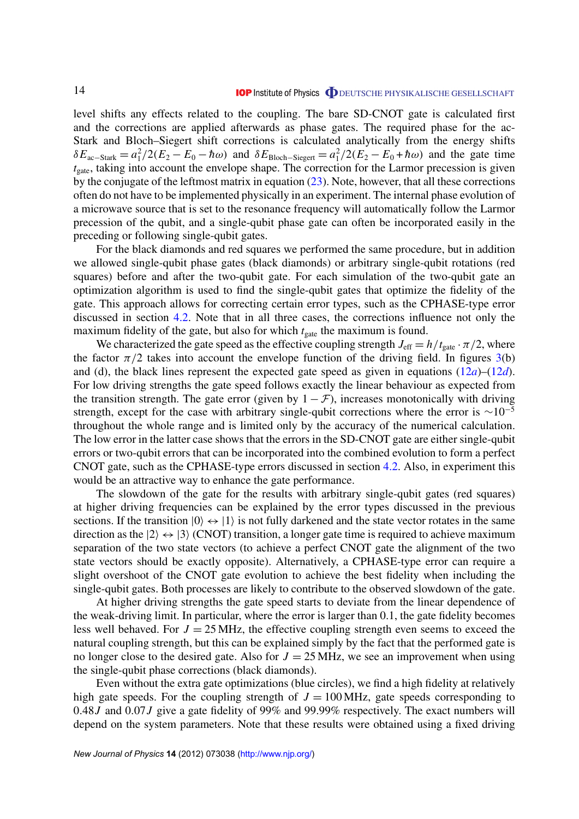level shifts any effects related to the coupling. The bare SD-CNOT gate is calculated first and the corrections are applied afterwards as phase gates. The required phase for the ac-Stark and Bloch–Siegert shift corrections is calculated analytically from the energy shifts  $\delta E_{\text{ac}-\text{Stark}} = a_1^2/2(E_2 - E_0 - \hbar \omega)$  and  $\delta E_{\text{Bloch}-\text{Siegert}} = a_1^2/2(E_2 - E_0 + \hbar \omega)$  and the gate time  $t_{\text{gate}}$ , taking into account the envelope shape. The correction for the Larmor precession is given by the conjugate of the leftmost matrix in equation  $(23)$ . Note, however, that all these corrections often do not have to be implemented physically in an experiment. The internal phase evolution of a microwave source that is set to the resonance frequency will automatically follow the Larmor precession of the qubit, and a single-qubit phase gate can often be incorporated easily in the preceding or following single-qubit gates.

For the black diamonds and red squares we performed the same procedure, but in addition we allowed single-qubit phase gates (black diamonds) or arbitrary single-qubit rotations (red squares) before and after the two-qubit gate. For each simulation of the two-qubit gate an optimization algorithm is used to find the single-qubit gates that optimize the fidelity of the gate. This approach allows for correcting certain error types, such as the CPHASE-type error discussed in section [4.2.](#page-11-0) Note that in all three cases, the corrections influence not only the maximum fidelity of the gate, but also for which  $t_{gate}$  the maximum is found.

We characterized the gate speed as the effective coupling strength  $J_{\text{eff}} = h/t_{\text{gate}} \cdot \pi/2$ , where the factor  $\pi/2$  takes into account the envelope function of the driving field. In figures [3\(](#page-13-0)b) and (d), the black lines represent the expected gate speed as given in equations  $(12a)$  $(12a)$ – $(12d)$ . For low driving strengths the gate speed follows exactly the linear behaviour as expected from the transition strength. The gate error (given by  $1 - \mathcal{F}$ ), increases monotonically with driving strength, except for the case with arbitrary single-qubit corrections where the error is  $\sim 10^{-5}$ throughout the whole range and is limited only by the accuracy of the numerical calculation. The low error in the latter case shows that the errors in the SD-CNOT gate are either single-qubit errors or two-qubit errors that can be incorporated into the combined evolution to form a perfect CNOT gate, such as the CPHASE-type errors discussed in section [4.2.](#page-11-0) Also, in experiment this would be an attractive way to enhance the gate performance.

The slowdown of the gate for the results with arbitrary single-qubit gates (red squares) at higher driving frequencies can be explained by the error types discussed in the previous sections. If the transition  $|0\rangle \leftrightarrow |1\rangle$  is not fully darkened and the state vector rotates in the same direction as the  $|2\rangle \leftrightarrow |3\rangle$  (CNOT) transition, a longer gate time is required to achieve maximum separation of the two state vectors (to achieve a perfect CNOT gate the alignment of the two state vectors should be exactly opposite). Alternatively, a CPHASE-type error can require a slight overshoot of the CNOT gate evolution to achieve the best fidelity when including the single-qubit gates. Both processes are likely to contribute to the observed slowdown of the gate.

At higher driving strengths the gate speed starts to deviate from the linear dependence of the weak-driving limit. In particular, where the error is larger than 0.1, the gate fidelity becomes less well behaved. For  $J = 25$  MHz, the effective coupling strength even seems to exceed the natural coupling strength, but this can be explained simply by the fact that the performed gate is no longer close to the desired gate. Also for  $J = 25$  MHz, we see an improvement when using the single-qubit phase corrections (black diamonds).

Even without the extra gate optimizations (blue circles), we find a high fidelity at relatively high gate speeds. For the coupling strength of  $J = 100 \text{ MHz}$ , gate speeds corresponding to 0.48*J* and 0.07*J* give a gate fidelity of 99% and 99.99% respectively. The exact numbers will depend on the system parameters. Note that these results were obtained using a fixed driving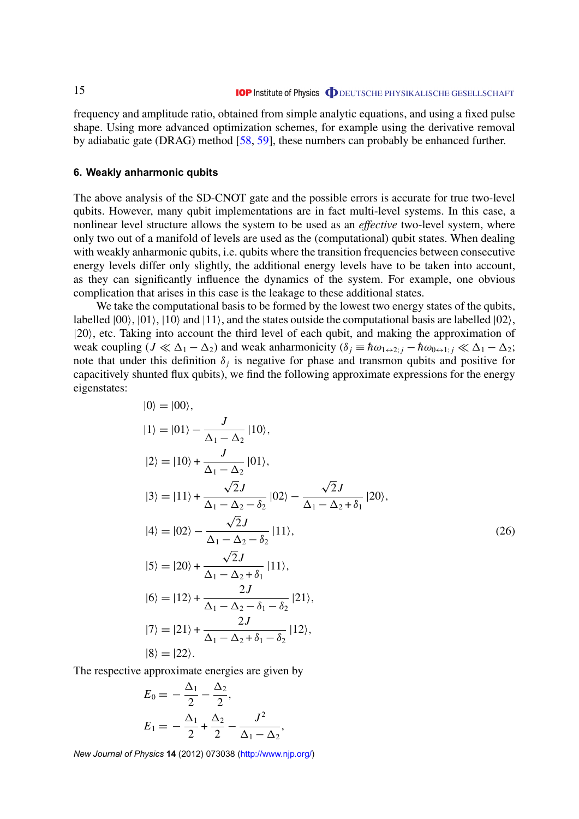<span id="page-15-0"></span>frequency and amplitude ratio, obtained from simple analytic equations, and using a fixed pulse shape. Using more advanced optimization schemes, for example using the derivative removal by adiabatic gate (DRAG) method [\[58,](#page-33-0) [59\]](#page-33-0), these numbers can probably be enhanced further.

#### **6. Weakly anharmonic qubits**

The above analysis of the SD-CNOT gate and the possible errors is accurate for true two-level qubits. However, many qubit implementations are in fact multi-level systems. In this case, a nonlinear level structure allows the system to be used as an *effective* two-level system, where only two out of a manifold of levels are used as the (computational) qubit states. When dealing with weakly anharmonic qubits, i.e. qubits where the transition frequencies between consecutive energy levels differ only slightly, the additional energy levels have to be taken into account, as they can significantly influence the dynamics of the system. For example, one obvious complication that arises in this case is the leakage to these additional states.

We take the computational basis to be formed by the lowest two energy states of the qubits, labelled  $|00\rangle$ ,  $|01\rangle$ ,  $|10\rangle$  and  $|11\rangle$ , and the states outside the computational basis are labelled  $|02\rangle$ ,  $|20\rangle$ , etc. Taking into account the third level of each qubit, and making the approximation of weak coupling ( $J \ll \Delta_1 - \Delta_2$ ) and weak anharmonicity ( $\delta_i \equiv \hbar \omega_{1 \leftrightarrow 2; j} - \hbar \omega_{0 \leftrightarrow 1; j} \ll \Delta_1 - \Delta_2$ ; note that under this definition  $\delta_j$  is negative for phase and transmon qubits and positive for capacitively shunted flux qubits), we find the following approximate expressions for the energy eigenstates:

$$
|0\rangle = |00\rangle,
$$
  
\n
$$
|1\rangle = |01\rangle - \frac{J}{\Delta_1 - \Delta_2} |10\rangle,
$$
  
\n
$$
|2\rangle = |10\rangle + \frac{J}{\Delta_1 - \Delta_2} |01\rangle,
$$
  
\n
$$
|3\rangle = |11\rangle + \frac{\sqrt{2}J}{\Delta_1 - \Delta_2 - \delta_2} |02\rangle - \frac{\sqrt{2}J}{\Delta_1 - \Delta_2 + \delta_1} |20\rangle,
$$
  
\n
$$
|4\rangle = |02\rangle - \frac{\sqrt{2}J}{\Delta_1 - \Delta_2 - \delta_2} |11\rangle,
$$
  
\n
$$
|5\rangle = |20\rangle + \frac{\sqrt{2}J}{\Delta_1 - \Delta_2 + \delta_1} |11\rangle,
$$
  
\n
$$
|6\rangle = |12\rangle + \frac{2J}{\Delta_1 - \Delta_2 - \delta_1 - \delta_2} |21\rangle,
$$
  
\n
$$
|7\rangle = |21\rangle + \frac{2J}{\Delta_1 - \Delta_2 + \delta_1 - \delta_2} |12\rangle,
$$
  
\n
$$
|8\rangle = |22\rangle.
$$
 (8) = 22).

The respective approximate energies are given by

$$
E_0 = -\frac{\Delta_1}{2} - \frac{\Delta_2}{2},
$$
  
\n
$$
E_1 = -\frac{\Delta_1}{2} + \frac{\Delta_2}{2} - \frac{J^2}{\Delta_1 - \Delta_2},
$$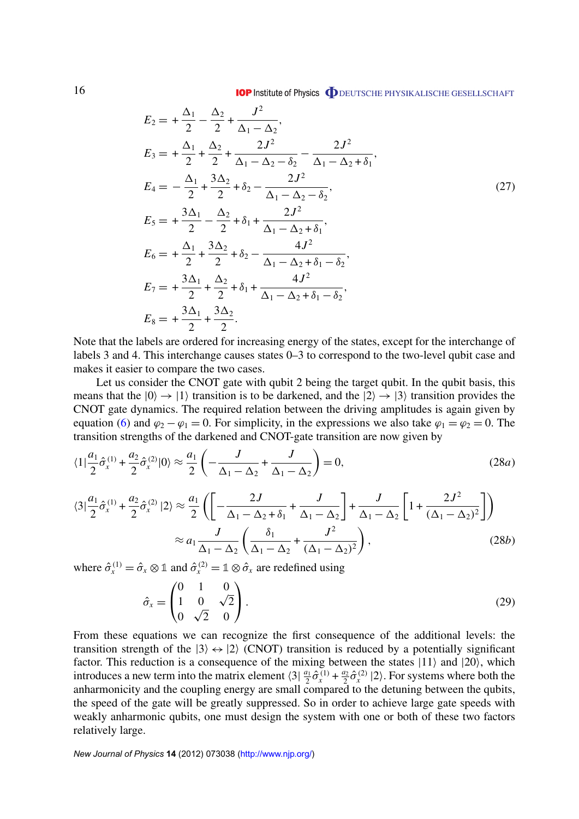**IOP** Institute of Physics **ODEUTSCHE PHYSIKALISCHE GESELLSCHAFT** 

<span id="page-16-0"></span>
$$
E_2 = +\frac{\Delta_1}{2} - \frac{\Delta_2}{2} + \frac{J^2}{\Delta_1 - \Delta_2},
$$
  
\n
$$
E_3 = +\frac{\Delta_1}{2} + \frac{\Delta_2}{2} + \frac{2J^2}{\Delta_1 - \Delta_2 - \delta_2} - \frac{2J^2}{\Delta_1 - \Delta_2 + \delta_1},
$$
  
\n
$$
E_4 = -\frac{\Delta_1}{2} + \frac{3\Delta_2}{2} + \delta_2 - \frac{2J^2}{\Delta_1 - \Delta_2 - \delta_2},
$$
  
\n
$$
E_5 = +\frac{3\Delta_1}{2} - \frac{\Delta_2}{2} + \delta_1 + \frac{2J^2}{\Delta_1 - \Delta_2 + \delta_1},
$$
  
\n
$$
E_6 = +\frac{\Delta_1}{2} + \frac{3\Delta_2}{2} + \delta_2 - \frac{4J^2}{\Delta_1 - \Delta_2 + \delta_1 - \delta_2},
$$
  
\n
$$
E_7 = +\frac{3\Delta_1}{2} + \frac{\Delta_2}{2} + \delta_1 + \frac{4J^2}{\Delta_1 - \Delta_2 + \delta_1 - \delta_2},
$$
  
\n
$$
E_8 = +\frac{3\Delta_1}{2} + \frac{3\Delta_2}{2}.
$$
  
\n(27)

Note that the labels are ordered for increasing energy of the states, except for the interchange of labels 3 and 4. This interchange causes states 0–3 to correspond to the two-level qubit case and makes it easier to compare the two cases.

Let us consider the CNOT gate with qubit 2 being the target qubit. In the qubit basis, this means that the  $|0\rangle \rightarrow |1\rangle$  transition is to be darkened, and the  $|2\rangle \rightarrow |3\rangle$  transition provides the CNOT gate dynamics. The required relation between the driving amplitudes is again given by equation [\(6\)](#page-6-0) and  $\varphi_2 - \varphi_1 = 0$ . For simplicity, in the expressions we also take  $\varphi_1 = \varphi_2 = 0$ . The transition strengths of the darkened and CNOT-gate transition are now given by

$$
\langle 1|\frac{a_1}{2}\hat{\sigma}_x^{(1)} + \frac{a_2}{2}\hat{\sigma}_x^{(2)}|0\rangle \approx \frac{a_1}{2}\left(-\frac{J}{\Delta_1 - \Delta_2} + \frac{J}{\Delta_1 - \Delta_2}\right) = 0,
$$
\n(28*a*)

$$
\langle 3|\frac{a_1}{2}\hat{\sigma}_x^{(1)} + \frac{a_2}{2}\hat{\sigma}_x^{(2)}|2\rangle \approx \frac{a_1}{2}\left(\left[-\frac{2J}{\Delta_1-\Delta_2+\delta_1} + \frac{J}{\Delta_1-\Delta_2}\right] + \frac{J}{\Delta_1-\Delta_2}\left[1 + \frac{2J^2}{(\Delta_1-\Delta_2)^2}\right]\right)
$$

$$
\approx a_1 \frac{J}{\Delta_1-\Delta_2}\left(\frac{\delta_1}{\Delta_1-\Delta_2} + \frac{J^2}{(\Delta_1-\Delta_2)^2}\right),\tag{28b}
$$

where  $\hat{\sigma}_x^{(1)} = \hat{\sigma}_x \otimes \mathbb{1}$  and  $\hat{\sigma}_x^{(2)} = \mathbb{1} \otimes \hat{\sigma}_x$  are redefined using

$$
\hat{\sigma}_x = \begin{pmatrix} 0 & 1 & 0 \\ 1 & 0 & \sqrt{2} \\ 0 & \sqrt{2} & 0 \end{pmatrix} . \tag{29}
$$

From these equations we can recognize the first consequence of the additional levels: the transition strength of the  $|3\rangle \leftrightarrow |2\rangle$  (CNOT) transition is reduced by a potentially significant factor. This reduction is a consequence of the mixing between the states  $|11\rangle$  and  $|20\rangle$ , which introduces a new term into the matrix element  $\langle 3 | \frac{a_1}{2} \rangle$  $\frac{a_1}{2}\hat{\sigma}_x^{(1)} + \frac{a_2}{2}$  $\frac{a_2}{2}\hat{\sigma}_x^{(2)}$  |2). For systems where both the anharmonicity and the coupling energy are small compared to the detuning between the qubits, the speed of the gate will be greatly suppressed. So in order to achieve large gate speeds with weakly anharmonic qubits, one must design the system with one or both of these two factors relatively large.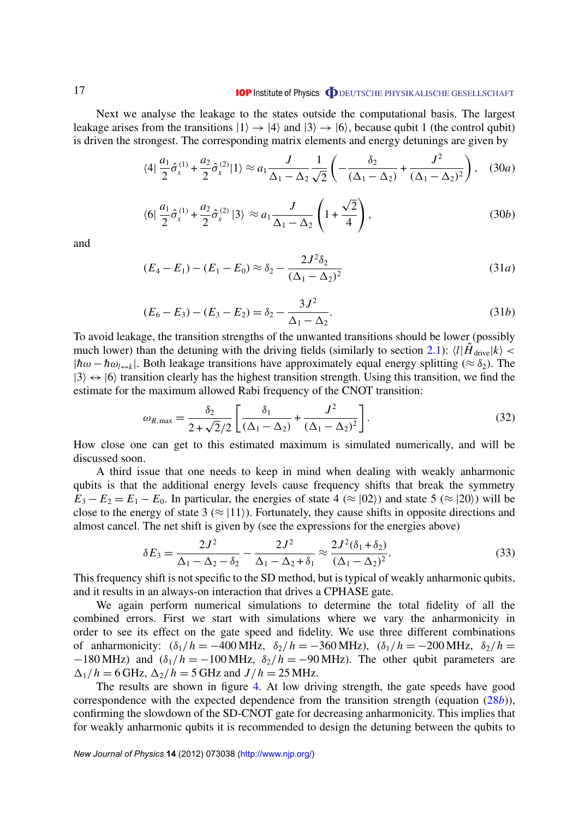#### **IOP** Institute of Physics **ODEUTSCHE PHYSIKALISCHE GESELLSCHAFT**

Next we analyse the leakage to the states outside the computational basis. The largest leakage arises from the transitions  $|1\rangle \rightarrow |4\rangle$  and  $|3\rangle \rightarrow |6\rangle$ , because qubit 1 (the control qubit) is driven the strongest. The corresponding matrix elements and energy detunings are given by

$$
\langle 4|\frac{a_1}{2}\hat{\sigma}_x^{(1)} + \frac{a_2}{2}\hat{\sigma}_x^{(2)}|1\rangle \approx a_1 \frac{J}{\Delta_1 - \Delta_2} \frac{1}{\sqrt{2}} \left( -\frac{\delta_2}{(\Delta_1 - \Delta_2)} + \frac{J^2}{(\Delta_1 - \Delta_2)^2} \right), \quad (30a)
$$

$$
\langle 6|\frac{a_1}{2}\hat{\sigma}_x^{(1)} + \frac{a_2}{2}\hat{\sigma}_x^{(2)}|3\rangle \approx a_1 \frac{J}{\Delta_1 - \Delta_2} \left(1 + \frac{\sqrt{2}}{4}\right),\tag{30b}
$$

and

$$
(E_4 - E_1) - (E_1 - E_0) \approx \delta_2 - \frac{2J^2 \delta_2}{(\Delta_1 - \Delta_2)^2}
$$
\n(31*a*)

$$
(E_6 - E_3) - (E_3 - E_2) = \delta_2 - \frac{3J^2}{\Delta_1 - \Delta_2}.
$$
\n(31b)

To avoid leakage, the transition strengths of the unwanted transitions should be lower (possibly much lower) than the detuning with the driving fields (similarly to section [2.1\)](#page-3-0):  $\langle l | \hat{H}_{\text{drive}} | k \rangle$  <  $|\hbar\omega - \hbar\omega_{l \leftrightarrow k}|$ . Both leakage transitions have approximately equal energy splitting ( $\approx \delta_2$ ). The  $|3\rangle \leftrightarrow |6\rangle$  transition clearly has the highest transition strength. Using this transition, we find the estimate for the maximum allowed Rabi frequency of the CNOT transition:

$$
\omega_{R,\max} = \frac{\delta_2}{2 + \sqrt{2}/2} \left[ \frac{\delta_1}{(\Delta_1 - \Delta_2)} + \frac{J^2}{(\Delta_1 - \Delta_2)^2} \right].
$$
\n(32)

How close one can get to this estimated maximum is simulated numerically, and will be discussed soon.

A third issue that one needs to keep in mind when dealing with weakly anharmonic qubits is that the additional energy levels cause frequency shifts that break the symmetry  $E_3 - E_2 = E_1 - E_0$ . In particular, the energies of state 4 ( $\approx$  |02)) and state 5 ( $\approx$  |20)) will be close to the energy of state 3 ( $\approx$  |11)). Fortunately, they cause shifts in opposite directions and almost cancel. The net shift is given by (see the expressions for the energies above)

$$
\delta E_3 = \frac{2J^2}{\Delta_1 - \Delta_2 - \delta_2} - \frac{2J^2}{\Delta_1 - \Delta_2 + \delta_1} \approx \frac{2J^2(\delta_1 + \delta_2)}{(\Delta_1 - \Delta_2)^2}.
$$
(33)

This frequency shift is not specific to the SD method, but is typical of weakly anharmonic qubits, and it results in an always-on interaction that drives a CPHASE gate.

We again perform numerical simulations to determine the total fidelity of all the combined errors. First we start with simulations where we vary the anharmonicity in order to see its effect on the gate speed and fidelity. We use three different combinations of anharmonicity:  $(\delta_1/h = -400 \text{ MHz}, \delta_2/h = -360 \text{ MHz}, (\delta_1/h = -200 \text{ MHz}, \delta_2/h =$  $-180$  MHz) and  $(\delta_1/h = -100$  MHz,  $\delta_2/h = -90$  MHz). The other qubit parameters are  $\Delta_1/h = 6$  GHz,  $\Delta_2/h = 5$  GHz and  $J/h = 25$  MHz.

The results are shown in figure [4.](#page-18-0) At low driving strength, the gate speeds have good correspondence with the expected dependence from the transition strength (equation [\(28](#page-16-0)*b*)), confirming the slowdown of the SD-CNOT gate for decreasing anharmonicity. This implies that for weakly anharmonic qubits it is recommended to design the detuning between the qubits to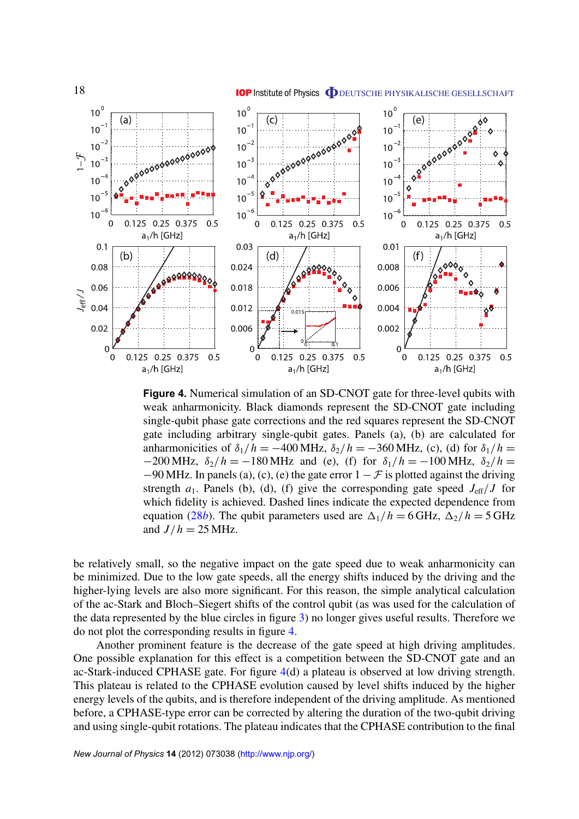<span id="page-18-0"></span>

**Figure 4.** Numerical simulation of an SD-CNOT gate for three-level qubits with weak anharmonicity. Black diamonds represent the SD-CNOT gate including single-qubit phase gate corrections and the red squares represent the SD-CNOT gate including arbitrary single-qubit gates. Panels (a), (b) are calculated for anharmonicities of  $\delta_1/h = -400$  MHz,  $\delta_2/h = -360$  MHz, (c), (d) for  $\delta_1/h =$  $-200$  MHz,  $\delta_2/h = -180$  MHz and (e), (f) for  $\delta_1/h = -100$  MHz,  $\delta_2/h =$  $-90$  MHz. In panels (a), (c), (e) the gate error  $1 - \mathcal{F}$  is plotted against the driving strength  $a_1$ . Panels (b), (d), (f) give the corresponding gate speed  $J_{\text{eff}}/J$  for which fidelity is achieved. Dashed lines indicate the expected dependence from equation [\(28](#page-16-0)*b*). The qubit parameters used are  $\Delta_1/h = 6$  GHz,  $\Delta_2/h = 5$  GHz and  $J/h = 25$  MHz.

be relatively small, so the negative impact on the gate speed due to weak anharmonicity can be minimized. Due to the low gate speeds, all the energy shifts induced by the driving and the higher-lying levels are also more significant. For this reason, the simple analytical calculation of the ac-Stark and Bloch–Siegert shifts of the control qubit (as was used for the calculation of the data represented by the blue circles in figure [3\)](#page-13-0) no longer gives useful results. Therefore we do not plot the corresponding results in figure 4.

Another prominent feature is the decrease of the gate speed at high driving amplitudes. One possible explanation for this effect is a competition between the SD-CNOT gate and an ac-Stark-induced CPHASE gate. For figure 4(d) a plateau is observed at low driving strength. This plateau is related to the CPHASE evolution caused by level shifts induced by the higher energy levels of the qubits, and is therefore independent of the driving amplitude. As mentioned before, a CPHASE-type error can be corrected by altering the duration of the two-qubit driving and using single-qubit rotations. The plateau indicates that the CPHASE contribution to the final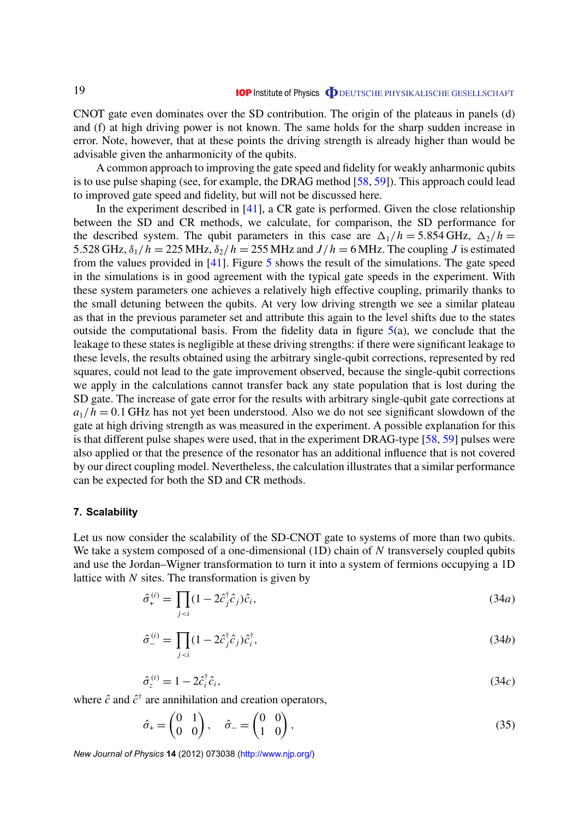<span id="page-19-0"></span>CNOT gate even dominates over the SD contribution. The origin of the plateaus in panels (d) and (f) at high driving power is not known. The same holds for the sharp sudden increase in error. Note, however, that at these points the driving strength is already higher than would be advisable given the anharmonicity of the qubits.

A common approach to improving the gate speed and fidelity for weakly anharmonic qubits is to use pulse shaping (see, for example, the DRAG method [\[58,](#page-33-0) [59\]](#page-33-0)). This approach could lead to improved gate speed and fidelity, but will not be discussed here.

In the experiment described in [\[41\]](#page-32-0), a CR gate is performed. Given the close relationship between the SD and CR methods, we calculate, for comparison, the SD performance for the described system. The qubit parameters in this case are  $\Delta_1/h = 5.854 \text{ GHz}, \Delta_2/h =$ 5.528 GHz,  $\delta_1/h = 225$  MHz,  $\delta_2/h = 255$  MHz and  $J/h = 6$  MHz. The coupling *J* is estimated from the values provided in [\[41\]](#page-32-0). Figure [5](#page-20-0) shows the result of the simulations. The gate speed in the simulations is in good agreement with the typical gate speeds in the experiment. With these system parameters one achieves a relatively high effective coupling, primarily thanks to the small detuning between the qubits. At very low driving strength we see a similar plateau as that in the previous parameter set and attribute this again to the level shifts due to the states outside the computational basis. From the fidelity data in figure  $5(a)$  $5(a)$ , we conclude that the leakage to these states is negligible at these driving strengths: if there were significant leakage to these levels, the results obtained using the arbitrary single-qubit corrections, represented by red squares, could not lead to the gate improvement observed, because the single-qubit corrections we apply in the calculations cannot transfer back any state population that is lost during the SD gate. The increase of gate error for the results with arbitrary single-qubit gate corrections at  $a_1/h = 0.1$  GHz has not yet been understood. Also we do not see significant slowdown of the gate at high driving strength as was measured in the experiment. A possible explanation for this is that different pulse shapes were used, that in the experiment DRAG-type [\[58,](#page-33-0) [59\]](#page-33-0) pulses were also applied or that the presence of the resonator has an additional influence that is not covered by our direct coupling model. Nevertheless, the calculation illustrates that a similar performance can be expected for both the SD and CR methods.

#### **7. Scalability**

Let us now consider the scalability of the SD-CNOT gate to systems of more than two qubits. We take a system composed of a one-dimensional (1D) chain of N transversely coupled qubits and use the Jordan–Wigner transformation to turn it into a system of fermions occupying a 1D lattice with *N* sites. The transformation is given by

$$
\hat{\sigma}_{+}^{(i)} = \prod_{j < i} (1 - 2\hat{c}_{j}^{\dagger} \hat{c}_{j}) \hat{c}_{i},\tag{34a}
$$

$$
\hat{\sigma}_{-}^{(i)} = \prod_{j < i} (1 - 2\hat{c}_j^{\dagger} \hat{c}_j) \hat{c}_i^{\dagger},\tag{34b}
$$

$$
\hat{\sigma}_z^{(i)} = 1 - 2\hat{c}_i^{\dagger} \hat{c}_i,\tag{34c}
$$

where  $\hat{c}$  and  $\hat{c}^{\dagger}$  are annihilation and creation operators,

$$
\hat{\sigma}_+ = \begin{pmatrix} 0 & 1 \\ 0 & 0 \end{pmatrix}, \quad \hat{\sigma}_- = \begin{pmatrix} 0 & 0 \\ 1 & 0 \end{pmatrix}, \tag{35}
$$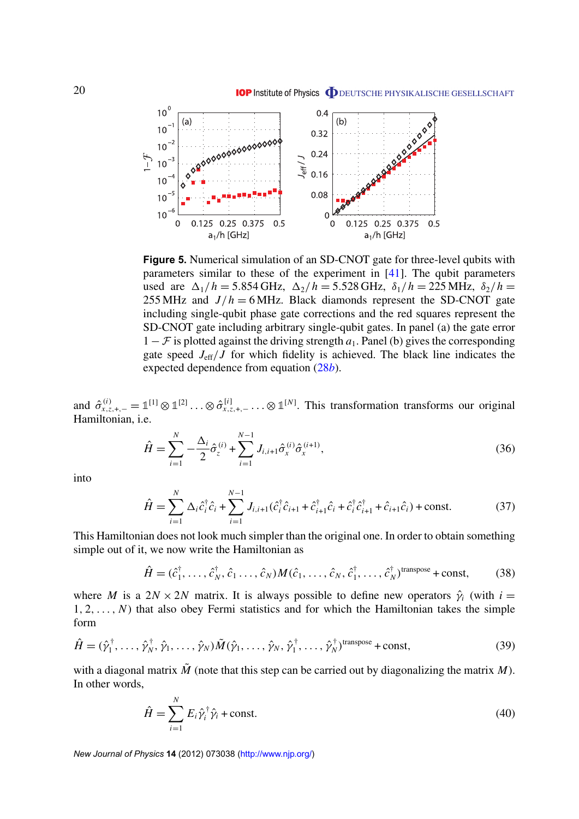<span id="page-20-0"></span>

**Figure 5.** Numerical simulation of an SD-CNOT gate for three-level qubits with parameters similar to these of the experiment in [\[41\]](#page-32-0). The qubit parameters used are  $\Delta_1/h = 5.854 \text{ GHz}, \Delta_2/h = 5.528 \text{ GHz}, \delta_1/h = 225 \text{ MHz}, \delta_2/h =$ 255 MHz and  $J/h = 6$  MHz. Black diamonds represent the SD-CNOT gate including single-qubit phase gate corrections and the red squares represent the SD-CNOT gate including arbitrary single-qubit gates. In panel (a) the gate error 1 –  $\mathcal F$  is plotted against the driving strength  $a_1$ . Panel (b) gives the corresponding gate speed  $J_{\text{eff}}/J$  for which fidelity is achieved. The black line indicates the expected dependence from equation [\(28](#page-16-0)*b*).

and  $\hat{\sigma}_{x,z,+,-}^{(i)} = \mathbb{1}^{[1]} \otimes \mathbb{1}^{[2]} \dots \otimes \hat{\sigma}_{x,z,+,-}^{[i]} \dots \otimes \mathbb{1}^{[N]}$ . This transformation transforms our original Hamiltonian, i.e.

$$
\hat{H} = \sum_{i=1}^{N} -\frac{\Delta_i}{2} \hat{\sigma}_z^{(i)} + \sum_{i=1}^{N-1} J_{i,i+1} \hat{\sigma}_x^{(i)} \hat{\sigma}_x^{(i+1)},
$$
\n(36)

into

$$
\hat{H} = \sum_{i=1}^{N} \Delta_i \hat{c}_i^{\dagger} \hat{c}_i + \sum_{i=1}^{N-1} J_{i,i+1} (\hat{c}_i^{\dagger} \hat{c}_{i+1} + \hat{c}_{i+1}^{\dagger} \hat{c}_i + \hat{c}_i^{\dagger} \hat{c}_{i+1}^{\dagger} + \hat{c}_{i+1} \hat{c}_i) + \text{const.}
$$
 (37)

This Hamiltonian does not look much simpler than the original one. In order to obtain something simple out of it, we now write the Hamiltonian as

$$
\hat{H} = (\hat{c}_1^{\dagger}, \dots, \hat{c}_N^{\dagger}, \hat{c}_1 \dots, \hat{c}_N) M (\hat{c}_1, \dots, \hat{c}_N, \hat{c}_1^{\dagger}, \dots, \hat{c}_N^{\dagger})^{\text{transpose}} + \text{const},
$$
(38)

where *M* is a  $2N \times 2N$  matrix. It is always possible to define new operators  $\hat{\gamma}_i$  (with  $i =$ 1, 2, . . . , *N*) that also obey Fermi statistics and for which the Hamiltonian takes the simple form

$$
\hat{H} = (\hat{\gamma}_1^{\dagger}, \dots, \hat{\gamma}_N^{\dagger}, \hat{\gamma}_1, \dots, \hat{\gamma}_N) \tilde{M}(\hat{\gamma}_1, \dots, \hat{\gamma}_N, \hat{\gamma}_1^{\dagger}, \dots, \hat{\gamma}_N^{\dagger})^{\text{transpose}} + \text{const},
$$
\n(39)

with a diagonal matrix  $\tilde{M}$  (note that this step can be carried out by diagonalizing the matrix M). In other words,

$$
\hat{H} = \sum_{i=1}^{N} E_i \hat{\gamma}_i^{\dagger} \hat{\gamma}_i + \text{const.}
$$
\n(40)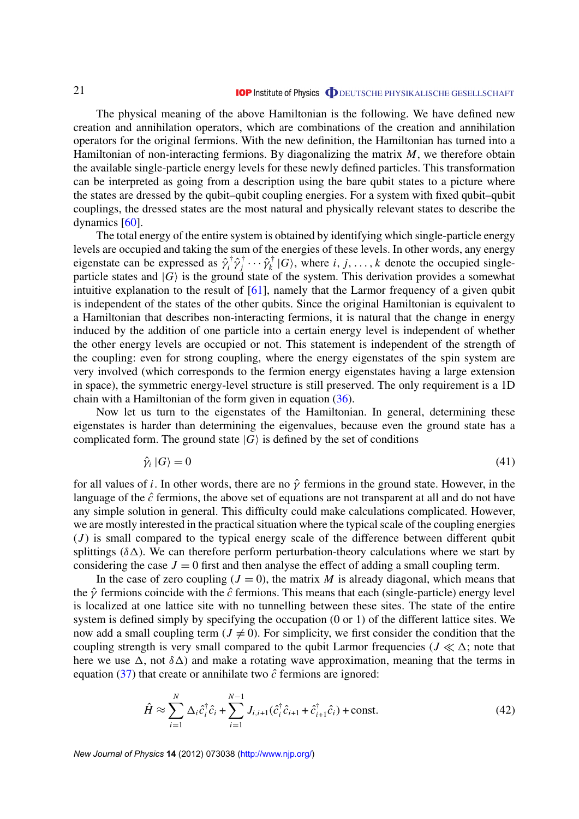The physical meaning of the above Hamiltonian is the following. We have defined new creation and annihilation operators, which are combinations of the creation and annihilation operators for the original fermions. With the new definition, the Hamiltonian has turned into a Hamiltonian of non-interacting fermions. By diagonalizing the matrix *M*, we therefore obtain the available single-particle energy levels for these newly defined particles. This transformation can be interpreted as going from a description using the bare qubit states to a picture where the states are dressed by the qubit–qubit coupling energies. For a system with fixed qubit–qubit couplings, the dressed states are the most natural and physically relevant states to describe the dynamics [\[60\]](#page-33-0).

The total energy of the entire system is obtained by identifying which single-particle energy levels are occupied and taking the sum of the energies of these levels. In other words, any energy eigenstate can be expressed as  $\hat{\gamma}_i^{\dagger}$ *i* γˆ †  $\hat{\gamma}^{\dagger} \cdots \hat{\gamma}^{\dagger}_k$  $\mathbf{z}_k^{\dagger}$  |G), where *i*, *j*, ..., *k* denote the occupied singleparticle states and  $|G\rangle$  is the ground state of the system. This derivation provides a somewhat intuitive explanation to the result of  $[61]$ , namely that the Larmor frequency of a given qubit is independent of the states of the other qubits. Since the original Hamiltonian is equivalent to a Hamiltonian that describes non-interacting fermions, it is natural that the change in energy induced by the addition of one particle into a certain energy level is independent of whether the other energy levels are occupied or not. This statement is independent of the strength of the coupling: even for strong coupling, where the energy eigenstates of the spin system are very involved (which corresponds to the fermion energy eigenstates having a large extension in space), the symmetric energy-level structure is still preserved. The only requirement is a 1D chain with a Hamiltonian of the form given in equation [\(36\)](#page-20-0).

Now let us turn to the eigenstates of the Hamiltonian. In general, determining these eigenstates is harder than determining the eigenvalues, because even the ground state has a complicated form. The ground state  $|G\rangle$  is defined by the set of conditions

$$
\hat{\gamma}_i \left| G \right\rangle = 0 \tag{41}
$$

for all values of *i*. In other words, there are no  $\hat{\gamma}$  fermions in the ground state. However, in the language of the  $\hat{c}$  fermions, the above set of equations are not transparent at all and do not have any simple solution in general. This difficulty could make calculations complicated. However, we are mostly interested in the practical situation where the typical scale of the coupling energies (*J* ) is small compared to the typical energy scale of the difference between different qubit splittings ( $\delta\Delta$ ). We can therefore perform perturbation-theory calculations where we start by considering the case  $J = 0$  first and then analyse the effect of adding a small coupling term.

In the case of zero coupling  $(J = 0)$ , the matrix *M* is already diagonal, which means that the  $\hat{\gamma}$  fermions coincide with the  $\hat{c}$  fermions. This means that each (single-particle) energy level is localized at one lattice site with no tunnelling between these sites. The state of the entire system is defined simply by specifying the occupation (0 or 1) of the different lattice sites. We now add a small coupling term ( $J \neq 0$ ). For simplicity, we first consider the condition that the coupling strength is very small compared to the qubit Larmor frequencies ( $J \ll \Delta$ ; note that here we use  $\Delta$ , not  $\delta\Delta$ ) and make a rotating wave approximation, meaning that the terms in equation  $(37)$  that create or annihilate two  $\hat{c}$  fermions are ignored:

$$
\hat{H} \approx \sum_{i=1}^{N} \Delta_i \hat{c}_i^{\dagger} \hat{c}_i + \sum_{i=1}^{N-1} J_{i,i+1} (\hat{c}_i^{\dagger} \hat{c}_{i+1} + \hat{c}_{i+1}^{\dagger} \hat{c}_i) + \text{const.}
$$
\n(42)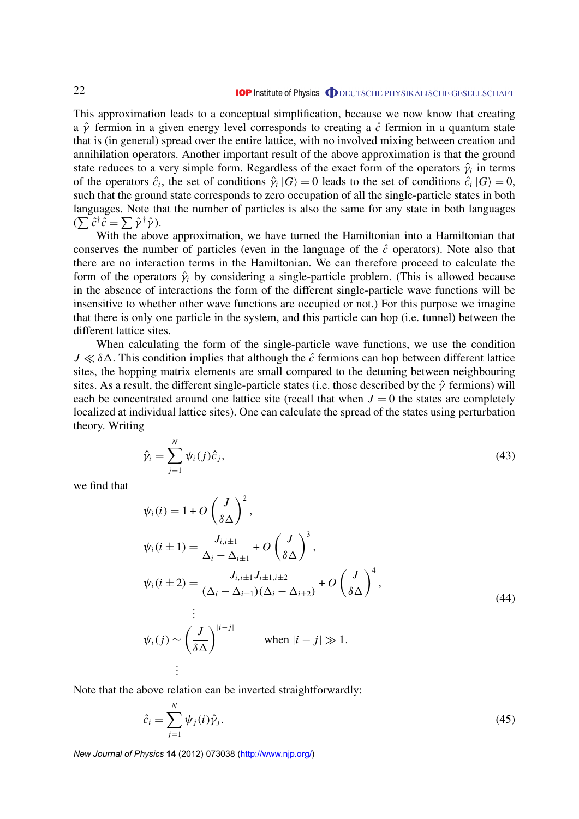This approximation leads to a conceptual simplification, because we now know that creating a γˆ fermion in a given energy level corresponds to creating a *c*ˆ fermion in a quantum state that is (in general) spread over the entire lattice, with no involved mixing between creation and annihilation operators. Another important result of the above approximation is that the ground state reduces to a very simple form. Regardless of the exact form of the operators  $\hat{\gamma}_i$  in terms of the operators  $\hat{c}_i$ , the set of conditions  $\hat{\gamma}_i |G\rangle = 0$  leads to the set of conditions  $\hat{c}_i |G\rangle = 0$ , such that the ground state corresponds to zero occupation of all the single-particle states in both languages. Note that the number of particles is also the same for any state in both languages  $(\sum \hat{c}^{\dagger} \hat{c} = \sum \hat{\gamma}^{\dagger} \hat{\gamma}).$ 

With the above approximation, we have turned the Hamiltonian into a Hamiltonian that conserves the number of particles (even in the language of the  $\hat{c}$  operators). Note also that there are no interaction terms in the Hamiltonian. We can therefore proceed to calculate the form of the operators  $\hat{\gamma}_i$  by considering a single-particle problem. (This is allowed because in the absence of interactions the form of the different single-particle wave functions will be insensitive to whether other wave functions are occupied or not.) For this purpose we imagine that there is only one particle in the system, and this particle can hop (i.e. tunnel) between the different lattice sites.

When calculating the form of the single-particle wave functions, we use the condition  $J \ll \delta \Delta$ . This condition implies that although the  $\hat{c}$  fermions can hop between different lattice sites, the hopping matrix elements are small compared to the detuning between neighbouring sites. As a result, the different single-particle states (i.e. those described by the  $\hat{\gamma}$  fermions) will each be concentrated around one lattice site (recall that when  $J = 0$  the states are completely localized at individual lattice sites). One can calculate the spread of the states using perturbation theory. Writing

$$
\hat{\gamma}_i = \sum_{j=1}^N \psi_i(j)\hat{c}_j,\tag{43}
$$

we find that

$$
\psi_i(i) = 1 + O\left(\frac{J}{\delta\Delta}\right)^2,
$$
  
\n
$$
\psi_i(i \pm 1) = \frac{J_{i,i\pm 1}}{\Delta_i - \Delta_{i\pm 1}} + O\left(\frac{J}{\delta\Delta}\right)^3,
$$
  
\n
$$
\psi_i(i \pm 2) = \frac{J_{i,i\pm 1}J_{i\pm 1,i\pm 2}}{(\Delta_i - \Delta_{i\pm 1})(\Delta_i - \Delta_{i\pm 2})} + O\left(\frac{J}{\delta\Delta}\right)^4,
$$
  
\n
$$
\vdots
$$
  
\n
$$
\psi_i(j) \sim \left(\frac{J}{\delta\Delta}\right)^{|i-j|} \quad \text{when } |i - j| \gg 1.
$$
\n(44)

Note that the above relation can be inverted straightforwardly:

$$
\hat{c}_i = \sum_{j=1}^N \psi_j(i)\hat{\gamma}_j.
$$
\n(45)

*New Journal of Physics* **14** (2012) 073038 [\(http://www.njp.org/\)](http://www.njp.org/)

. . .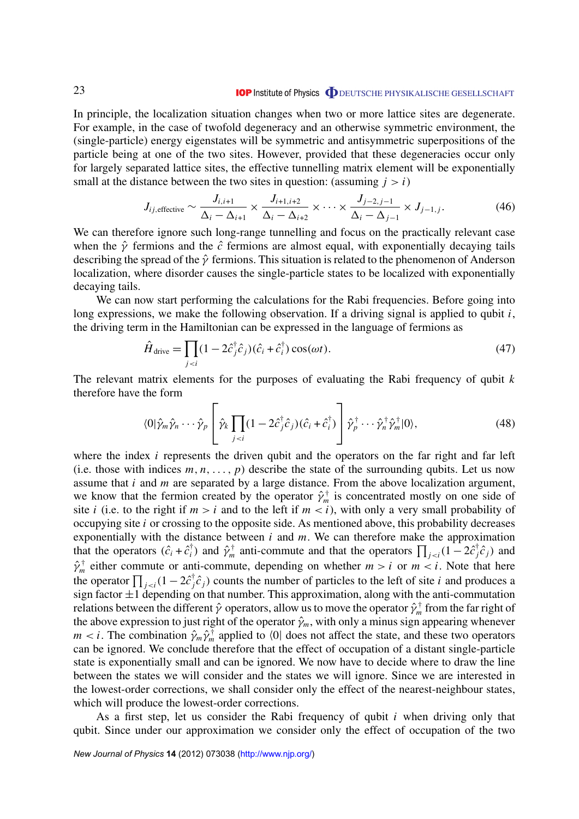In principle, the localization situation changes when two or more lattice sites are degenerate. For example, in the case of twofold degeneracy and an otherwise symmetric environment, the (single-particle) energy eigenstates will be symmetric and antisymmetric superpositions of the particle being at one of the two sites. However, provided that these degeneracies occur only for largely separated lattice sites, the effective tunnelling matrix element will be exponentially small at the distance between the two sites in question: (assuming  $j > i$ )

$$
J_{ij,\text{effective}} \sim \frac{J_{i,i+1}}{\Delta_i - \Delta_{i+1}} \times \frac{J_{i+1,i+2}}{\Delta_i - \Delta_{i+2}} \times \cdots \times \frac{J_{j-2,j-1}}{\Delta_i - \Delta_{j-1}} \times J_{j-1,j}.\tag{46}
$$

We can therefore ignore such long-range tunnelling and focus on the practically relevant case when the  $\hat{\gamma}$  fermions and the  $\hat{c}$  fermions are almost equal, with exponentially decaying tails describing the spread of the  $\hat{\gamma}$  fermions. This situation is related to the phenomenon of Anderson localization, where disorder causes the single-particle states to be localized with exponentially decaying tails.

We can now start performing the calculations for the Rabi frequencies. Before going into long expressions, we make the following observation. If a driving signal is applied to qubit *i*, the driving term in the Hamiltonian can be expressed in the language of fermions as

$$
\hat{H}_{\text{drive}} = \prod_{j < i} (1 - 2\hat{c}_j^{\dagger} \hat{c}_j)(\hat{c}_i + \hat{c}_i^{\dagger}) \cos(\omega t). \tag{47}
$$

The relevant matrix elements for the purposes of evaluating the Rabi frequency of qubit *k* therefore have the form

$$
\langle 0|\hat{\gamma}_m\hat{\gamma}_n\cdots\hat{\gamma}_p\left[\hat{\gamma}_k\prod_{j
$$

where the index *i* represents the driven qubit and the operators on the far right and far left (i.e. those with indices  $m, n, \ldots, p$ ) describe the state of the surrounding qubits. Let us now assume that *i* and *m* are separated by a large distance. From the above localization argument, we know that the fermion created by the operator  $\hat{\gamma}_m^{\dagger}$  is concentrated mostly on one side of site *i* (i.e. to the right if  $m > i$  and to the left if  $m < i$ ), with only a very small probability of occupying site *i* or crossing to the opposite side. As mentioned above, this probability decreases exponentially with the distance between *i* and *m*. We can therefore make the approximation that the operators  $(\hat{c}_i + \hat{c}_i^{\dagger})$ <sup>†</sup><sub>*i*</sub>) and  $\hat{\gamma}_m^{\dagger}$  anti-commute and that the operators  $\prod_{j \lt i} (1 - 2\hat{c}_j^{\dagger})$  $j \hat{c}_j$ ) and  $\hat{\gamma}_m^{\dagger}$  either commute or anti-commute, depending on whether  $m > i$  or  $m < i$ . Note that here the operator  $\prod_{j < i} (1 - 2\hat{c}_j^{\dagger})$  $\phi_j^{\dagger}$  $\hat{c}_j$ ) counts the number of particles to the left of site *i* and produces a sign factor  $\pm 1$  depending on that number. This approximation, along with the anti-commutation relations between the different  $\hat{\gamma}$  operators, allow us to move the operator  $\hat{\gamma}_m^{\dagger}$  from the far right of the above expression to just right of the operator  $\hat{\gamma}_m$ , with only a minus sign appearing whenever *m* < *i*. The combination  $\hat{\gamma}_m \hat{\gamma}_m^{\dagger}$  applied to  $\langle 0 |$  does not affect the state, and these two operators can be ignored. We conclude therefore that the effect of occupation of a distant single-particle state is exponentially small and can be ignored. We now have to decide where to draw the line between the states we will consider and the states we will ignore. Since we are interested in the lowest-order corrections, we shall consider only the effect of the nearest-neighbour states, which will produce the lowest-order corrections.

As a first step, let us consider the Rabi frequency of qubit *i* when driving only that qubit. Since under our approximation we consider only the effect of occupation of the two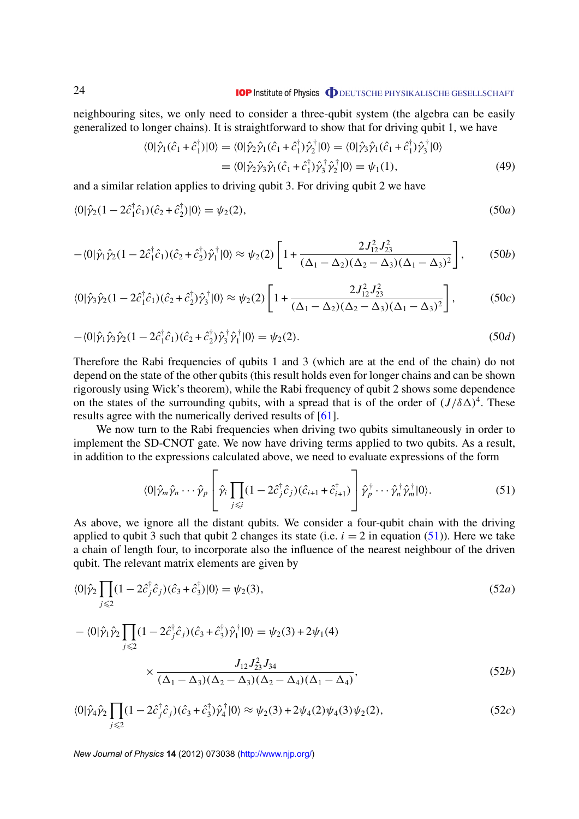neighbouring sites, we only need to consider a three-qubit system (the algebra can be easily generalized to longer chains). It is straightforward to show that for driving qubit 1, we have

$$
\langle 0|\hat{\gamma}_1(\hat{c}_1 + \hat{c}_1^{\dagger})|0\rangle = \langle 0|\hat{\gamma}_2\hat{\gamma}_1(\hat{c}_1 + \hat{c}_1^{\dagger})\hat{\gamma}_2^{\dagger}|0\rangle = \langle 0|\hat{\gamma}_3\hat{\gamma}_1(\hat{c}_1 + \hat{c}_1^{\dagger})\hat{\gamma}_3^{\dagger}|0\rangle
$$
  
=  $\langle 0|\hat{\gamma}_2\hat{\gamma}_3\hat{\gamma}_1(\hat{c}_1 + \hat{c}_1^{\dagger})\hat{\gamma}_3^{\dagger}\hat{\gamma}_2^{\dagger}|0\rangle = \psi_1(1),$  (49)

and a similar relation applies to driving qubit 3. For driving qubit 2 we have

$$
\langle 0|\hat{\gamma}_2(1 - 2\hat{c}_1^{\dagger}\hat{c}_1)(\hat{c}_2 + \hat{c}_2^{\dagger})|0\rangle = \psi_2(2),\tag{50a}
$$

$$
-\langle 0|\hat{\gamma}_1\hat{\gamma}_2(1-2\hat{c}_1^{\dagger}\hat{c}_1)(\hat{c}_2+\hat{c}_2^{\dagger})\hat{\gamma}_1^{\dagger}|0\rangle \approx \psi_2(2)\left[1+\frac{2J_{12}^2J_{23}^2}{(\Delta_1-\Delta_2)(\Delta_2-\Delta_3)(\Delta_1-\Delta_3)^2}\right],\tag{50b}
$$

$$
\langle 0|\hat{\gamma}_3\hat{\gamma}_2(1-2\hat{c}_1^{\dagger}\hat{c}_1)(\hat{c}_2+\hat{c}_2^{\dagger})\hat{\gamma}_3^{\dagger}|0\rangle \approx \psi_2(2)\left[1+\frac{2J_{12}^2J_{23}^2}{(\Delta_1-\Delta_2)(\Delta_2-\Delta_3)(\Delta_1-\Delta_3)^2}\right],
$$
 (50*c*)

$$
-\langle 0|\hat{\gamma}_1\hat{\gamma}_3\hat{\gamma}_2(1-2\hat{c}_1^{\dagger}\hat{c}_1)(\hat{c}_2+\hat{c}_2^{\dagger})\hat{\gamma}_3^{\dagger}\hat{\gamma}_1^{\dagger}|0\rangle = \psi_2(2). \tag{50d}
$$

Therefore the Rabi frequencies of qubits 1 and 3 (which are at the end of the chain) do not depend on the state of the other qubits (this result holds even for longer chains and can be shown rigorously using Wick's theorem), while the Rabi frequency of qubit 2 shows some dependence on the states of the surrounding qubits, with a spread that is of the order of  $(J/\delta\Delta)^4$ . These results agree with the numerically derived results of [\[61\]](#page-33-0).

We now turn to the Rabi frequencies when driving two qubits simultaneously in order to implement the SD-CNOT gate. We now have driving terms applied to two qubits. As a result, in addition to the expressions calculated above, we need to evaluate expressions of the form

$$
\langle 0|\hat{\gamma}_m\hat{\gamma}_n\cdots\hat{\gamma}_p\left[\hat{\gamma}_i\prod_{j\leqslant i}(1-2\hat{c}_j^{\dagger}\hat{c}_j)(\hat{c}_{i+1}+\hat{c}_{i+1}^{\dagger})\right]\hat{\gamma}_p^{\dagger}\cdots\hat{\gamma}_n^{\dagger}\hat{\gamma}_m^{\dagger}|0\rangle. \tag{51}
$$

As above, we ignore all the distant qubits. We consider a four-qubit chain with the driving applied to qubit 3 such that qubit 2 changes its state (i.e.  $i = 2$  in equation (51)). Here we take a chain of length four, to incorporate also the influence of the nearest neighbour of the driven qubit. The relevant matrix elements are given by

$$
\langle 0|\hat{\gamma}_2 \prod_{j\leq 2} (1 - 2\hat{c}_j^{\dagger} \hat{c}_j)(\hat{c}_3 + \hat{c}_3^{\dagger})|0\rangle = \psi_2(3),
$$
\n
$$
-\langle 0|\hat{\gamma}_1 \hat{\gamma}_2 \prod_{j\leq 2} (1 - 2\hat{c}_j^{\dagger} \hat{c}_j)(\hat{c}_3 + \hat{c}_3^{\dagger})\hat{\gamma}_1^{\dagger}|0\rangle = \psi_2(3) + 2\psi_1(4)
$$
\n
$$
\times \frac{J_{12} J_{23}^2 J_{34}}{(\Delta_1 - \Delta_3)(\Delta_2 - \Delta_3)(\Delta_2 - \Delta_4)(\Delta_1 - \Delta_4)},
$$
\n(52*b*)

$$
\langle 0|\hat{\gamma}_4\hat{\gamma}_2\prod_{j\leq 2}(1-2\hat{c}_j^{\dagger}\hat{c}_j)(\hat{c}_3+\hat{c}_3^{\dagger})\hat{\gamma}_4^{\dagger}|0\rangle \approx \psi_2(3) + 2\psi_4(2)\psi_4(3)\psi_2(2),\tag{52c}
$$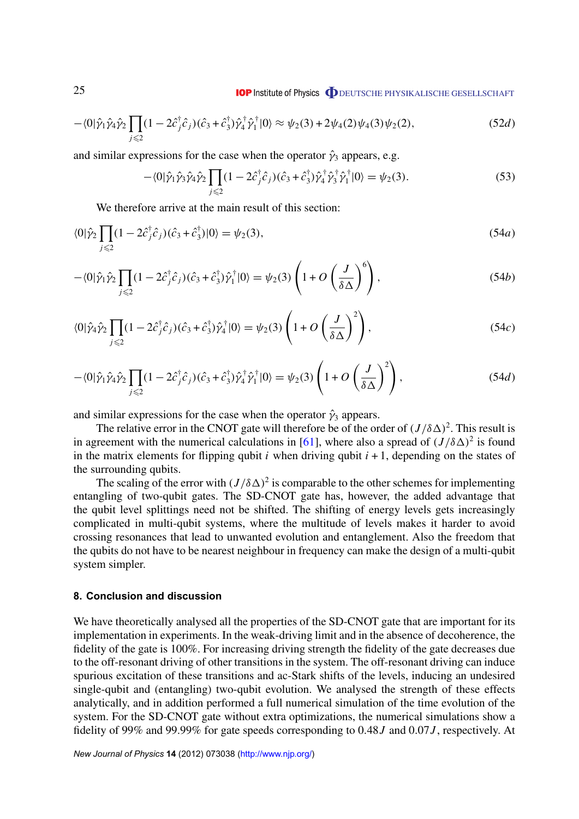<span id="page-25-0"></span>
$$
-\langle 0|\hat{\gamma}_1\hat{\gamma}_4\hat{\gamma}_2\prod_{j\leq 2}(1-2\hat{c}_j^{\dagger}\hat{c}_j)(\hat{c}_3+\hat{c}_3^{\dagger})\hat{\gamma}_4^{\dagger}\hat{\gamma}_1^{\dagger}|0\rangle \approx \psi_2(3) + 2\psi_4(2)\psi_4(3)\psi_2(2),
$$
\n(52*d*)

and similar expressions for the case when the operator  $\hat{\gamma}_3$  appears, e.g.

$$
-\langle 0|\hat{\gamma}_1\hat{\gamma}_3\hat{\gamma}_4\hat{\gamma}_2\prod_{j\leqslant 2}(1-2\hat{c}_j^{\dagger}\hat{c}_j)(\hat{c}_3+\hat{c}_3^{\dagger})\hat{\gamma}_4^{\dagger}\hat{\gamma}_3^{\dagger}\hat{\gamma}_1^{\dagger}|0\rangle = \psi_2(3). \tag{53}
$$

We therefore arrive at the main result of this section:

$$
\langle 0|\hat{\gamma}_2 \prod_{j \le 2} (1 - 2\hat{c}_j^{\dagger} \hat{c}_j)(\hat{c}_3 + \hat{c}_3^{\dagger}) |0\rangle = \psi_2(3),\tag{54a}
$$

$$
-\langle 0|\hat{\gamma}_1\hat{\gamma}_2\prod_{j\leqslant 2}(1-2\hat{c}_j^{\dagger}\hat{c}_j)(\hat{c}_3+\hat{c}_3^{\dagger})\hat{\gamma}_1^{\dagger}|0\rangle = \psi_2(3)\left(1+O\left(\frac{J}{\delta\Delta}\right)^6\right),\tag{54b}
$$

$$
\langle 0|\hat{\gamma}_4\hat{\gamma}_2\prod_{j\leqslant 2}(1-2\hat{c}_j^{\dagger}\hat{c}_j)(\hat{c}_3+\hat{c}_3^{\dagger})\hat{\gamma}_4^{\dagger}|0\rangle = \psi_2(3)\left(1+O\left(\frac{J}{\delta\Delta}\right)^2\right),\tag{54c}
$$

$$
-\langle 0|\hat{\gamma}_1\hat{\gamma}_4\hat{\gamma}_2\prod_{j\leq 2}(1-2\hat{c}_j^{\dagger}\hat{c}_j)(\hat{c}_3+\hat{c}_3^{\dagger})\hat{\gamma}_4^{\dagger}\hat{\gamma}_1^{\dagger}|0\rangle = \psi_2(3)\left(1+O\left(\frac{J}{\delta\Delta}\right)^2\right),\tag{54d}
$$

and similar expressions for the case when the operator  $\hat{\gamma}_3$  appears.

The relative error in the CNOT gate will therefore be of the order of  $(J/\delta\Delta)^2$ . This result is in agreement with the numerical calculations in [\[61\]](#page-33-0), where also a spread of  $(J/\delta\Delta)^2$  is found in the matrix elements for flipping qubit *i* when driving qubit  $i + 1$ , depending on the states of the surrounding qubits.

The scaling of the error with  $(J/\delta\Delta)^2$  is comparable to the other schemes for implementing entangling of two-qubit gates. The SD-CNOT gate has, however, the added advantage that the qubit level splittings need not be shifted. The shifting of energy levels gets increasingly complicated in multi-qubit systems, where the multitude of levels makes it harder to avoid crossing resonances that lead to unwanted evolution and entanglement. Also the freedom that the qubits do not have to be nearest neighbour in frequency can make the design of a multi-qubit system simpler.

#### **8. Conclusion and discussion**

We have theoretically analysed all the properties of the SD-CNOT gate that are important for its implementation in experiments. In the weak-driving limit and in the absence of decoherence, the fidelity of the gate is 100%. For increasing driving strength the fidelity of the gate decreases due to the off-resonant driving of other transitions in the system. The off-resonant driving can induce spurious excitation of these transitions and ac-Stark shifts of the levels, inducing an undesired single-qubit and (entangling) two-qubit evolution. We analysed the strength of these effects analytically, and in addition performed a full numerical simulation of the time evolution of the system. For the SD-CNOT gate without extra optimizations, the numerical simulations show a fidelity of 99% and 99.99% for gate speeds corresponding to 0.48*J* and 0.07*J* , respectively. At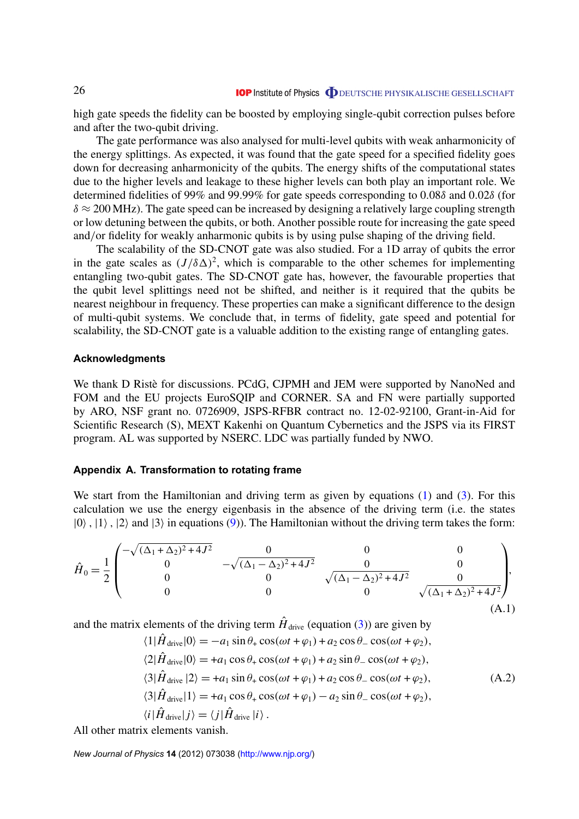<span id="page-26-0"></span>high gate speeds the fidelity can be boosted by employing single-qubit correction pulses before and after the two-qubit driving.

The gate performance was also analysed for multi-level qubits with weak anharmonicity of the energy splittings. As expected, it was found that the gate speed for a specified fidelity goes down for decreasing anharmonicity of the qubits. The energy shifts of the computational states due to the higher levels and leakage to these higher levels can both play an important role. We determined fidelities of 99% and 99.99% for gate speeds corresponding to 0.08δ and 0.02δ (for  $\delta \approx 200$  MHz). The gate speed can be increased by designing a relatively large coupling strength or low detuning between the qubits, or both. Another possible route for increasing the gate speed and/or fidelity for weakly anharmonic qubits is by using pulse shaping of the driving field.

The scalability of the SD-CNOT gate was also studied. For a 1D array of qubits the error in the gate scales as  $(J/\delta\Delta)^2$ , which is comparable to the other schemes for implementing entangling two-qubit gates. The SD-CNOT gate has, however, the favourable properties that the qubit level splittings need not be shifted, and neither is it required that the qubits be nearest neighbour in frequency. These properties can make a significant difference to the design of multi-qubit systems. We conclude that, in terms of fidelity, gate speed and potential for scalability, the SD-CNOT gate is a valuable addition to the existing range of entangling gates.

# **Acknowledgments**

We thank D Ristè for discussions. PCdG, CJPMH and JEM were supported by NanoNed and FOM and the EU projects EuroSQIP and CORNER. SA and FN were partially supported by ARO, NSF grant no. 0726909, JSPS-RFBR contract no. 12-02-92100, Grant-in-Aid for Scientific Research (S), MEXT Kakenhi on Quantum Cybernetics and the JSPS via its FIRST program. AL was supported by NSERC. LDC was partially funded by NWO.

# **Appendix A. Transformation to rotating frame**

We start from the Hamiltonian and driving term as given by equations [\(1\)](#page-3-0) and [\(3\)](#page-5-0). For this calculation we use the energy eigenbasis in the absence of the driving term (i.e. the states  $|0\rangle$ ,  $|1\rangle$ ,  $|2\rangle$  and  $|3\rangle$  in equations [\(9\)](#page-7-0)). The Hamiltonian without the driving term takes the form:

$$
\hat{H}_0 = \frac{1}{2} \begin{pmatrix}\n-\sqrt{(\Delta_1 + \Delta_2)^2 + 4J^2} & 0 & 0 & 0 \\
0 & -\sqrt{(\Delta_1 - \Delta_2)^2 + 4J^2} & 0 & 0 \\
0 & 0 & \sqrt{(\Delta_1 - \Delta_2)^2 + 4J^2} & 0 \\
0 & 0 & 0 & \sqrt{(\Delta_1 + \Delta_2)^2 + 4J^2}\n\end{pmatrix},
$$
\n(A.1)

and the matrix elements of the driving term  $\hat{H}_{\text{drive}}$  (equation [\(3\)](#page-5-0)) are given by

$$
\langle 1|\hat{H}_{\text{drive}}|0\rangle = -a_1 \sin \theta_+ \cos(\omega t + \varphi_1) + a_2 \cos \theta_- \cos(\omega t + \varphi_2),
$$
  
\n
$$
\langle 2|\hat{H}_{\text{drive}}|0\rangle = +a_1 \cos \theta_+ \cos(\omega t + \varphi_1) + a_2 \sin \theta_- \cos(\omega t + \varphi_2),
$$
  
\n
$$
\langle 3|\hat{H}_{\text{drive}}|2\rangle = +a_1 \sin \theta_+ \cos(\omega t + \varphi_1) + a_2 \cos \theta_- \cos(\omega t + \varphi_2),
$$
  
\n
$$
\langle 3|\hat{H}_{\text{drive}}|1\rangle = +a_1 \cos \theta_+ \cos(\omega t + \varphi_1) - a_2 \sin \theta_- \cos(\omega t + \varphi_2),
$$
  
\n
$$
\langle i|\hat{H}_{\text{drive}}|j\rangle = \langle j|\hat{H}_{\text{drive}}|i\rangle.
$$
 (A.2)

All other matrix elements vanish.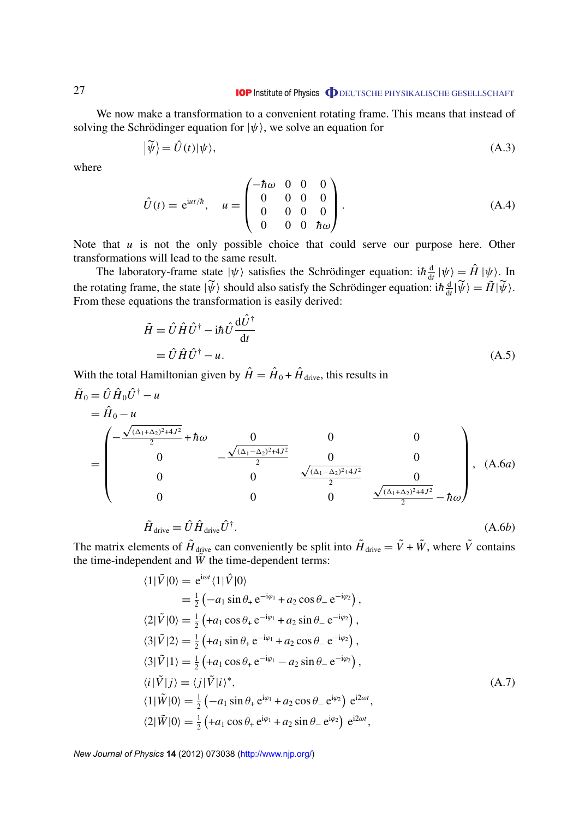# **IOP** Institute of Physics **ODEUTSCHE PHYSIKALISCHE GESELLSCHAFT**

We now make a transformation to a convenient rotating frame. This means that instead of solving the Schrödinger equation for  $|\psi\rangle$ , we solve an equation for

$$
\left|\widetilde{\psi}\right\rangle = \hat{U}(t)|\psi\rangle,\tag{A.3}
$$

where

$$
\hat{U}(t) = e^{iut/\hbar}, \quad u = \begin{pmatrix} -\hbar\omega & 0 & 0 & 0 \\ 0 & 0 & 0 & 0 \\ 0 & 0 & 0 & 0 \\ 0 & 0 & 0 & \hbar\omega \end{pmatrix}.
$$
\n(A.4)

Note that *u* is not the only possible choice that could serve our purpose here. Other transformations will lead to the same result.

The laboratory-frame state  $|\psi\rangle$  satisfies the Schrödinger equation: in  $\frac{d}{dt}$  $\frac{d}{dt} |\psi\rangle = \hat{H} |\psi\rangle$ . In the rotating frame, the state  $|\widetilde{\psi}\rangle$  should also satisfy the Schrödinger equation: in  $\frac{d}{dt}$  $\frac{\mathrm{d}}{\mathrm{d}t}|\widetilde{\psi}\rangle = \widetilde{H}|\widetilde{\psi}\rangle.$ From these equations the transformation is easily derived:

$$
\tilde{H} = \hat{U}\hat{H}\hat{U}^{\dagger} - i\hbar\hat{U}\frac{d\hat{U}^{\dagger}}{dt}
$$
\n
$$
= \hat{U}\hat{H}\hat{U}^{\dagger} - u.
$$
\n(A.5)

With the total Hamiltonian given by  $\hat{H} = \hat{H}_0 + \hat{H}_{\text{drive}}$ , this results in

$$
\tilde{H}_0 = \hat{U}\hat{H}_0\hat{U}^\dagger - u \n= \hat{H}_0 - u \n= \begin{pmatrix}\n-\frac{\sqrt{(\Delta_1 + \Delta_2)^2 + 4J^2}}{2} + \hbar\omega & 0 & 0 & 0 \\
0 & -\frac{\sqrt{(\Delta_1 - \Delta_2)^2 + 4J^2}}{2} & 0 & 0 \\
0 & 0 & \frac{\sqrt{(\Delta_1 - \Delta_2)^2 + 4J^2}}{2} & 0 \\
0 & 0 & 0 & \frac{\sqrt{(\Delta_1 - \Delta_2)^2 + 4J^2}}{2} - \hbar\omega\n\end{pmatrix}, (A.6a)
$$

$$
\tilde{H}_{\text{drive}} = \hat{U}\hat{H}_{\text{drive}}\hat{U}^{\dagger}.
$$
\n(A.6b)

The matrix elements of  $\tilde{H}_{\text{drive}}$  can conveniently be split into  $\tilde{H}_{\text{drive}} = \tilde{V} + \tilde{W}$ , where  $\tilde{V}$  contains the time-independent and  $\tilde{W}$  the time-dependent terms:

$$
\langle 1|\tilde{V}|0\rangle = e^{i\omega t} \langle 1|\hat{V}|0\rangle \n= \frac{1}{2} \left( -a_1 \sin \theta_+ e^{-i\varphi_1} + a_2 \cos \theta_- e^{-i\varphi_2} \right), \n\langle 2|\tilde{V}|0\rangle = \frac{1}{2} \left( +a_1 \cos \theta_+ e^{-i\varphi_1} + a_2 \sin \theta_- e^{-i\varphi_2} \right), \n\langle 3|\tilde{V}|2\rangle = \frac{1}{2} \left( +a_1 \sin \theta_+ e^{-i\varphi_1} + a_2 \cos \theta_- e^{-i\varphi_2} \right), \n\langle 3|\tilde{V}|1\rangle = \frac{1}{2} \left( +a_1 \cos \theta_+ e^{-i\varphi_1} - a_2 \sin \theta_- e^{-i\varphi_2} \right), \n\langle i|\tilde{V}|j\rangle = \langle j|\tilde{V}|i\rangle^*, \n\langle 1|\tilde{W}|0\rangle = \frac{1}{2} \left( -a_1 \sin \theta_+ e^{i\varphi_1} + a_2 \cos \theta_- e^{i\varphi_2} \right) e^{i2\omega t}, \n\langle 2|\tilde{W}|0\rangle = \frac{1}{2} \left( +a_1 \cos \theta_+ e^{i\varphi_1} + a_2 \sin \theta_- e^{i\varphi_2} \right) e^{i2\omega t},
$$
\n(A.7)

*New Journal of Physics* **14** (2012) 073038 [\(http://www.njp.org/\)](http://www.njp.org/)

<span id="page-27-0"></span>27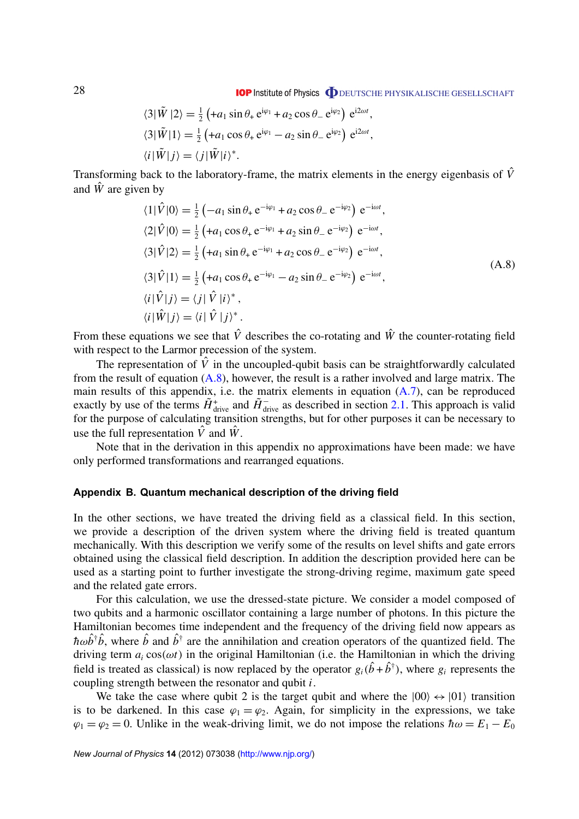**IOP** Institute of Physics **ODEUTSCHE PHYSIKALISCHE GESELLSCHAFT** 

<span id="page-28-0"></span>
$$
\langle 3|\tilde{W}|2\rangle = \frac{1}{2} \left( +a_1 \sin \theta_+ e^{i\varphi_1} + a_2 \cos \theta_- e^{i\varphi_2} \right) e^{i2\omega t},
$$
  

$$
\langle 3|\tilde{W}|1\rangle = \frac{1}{2} \left( +a_1 \cos \theta_+ e^{i\varphi_1} - a_2 \sin \theta_- e^{i\varphi_2} \right) e^{i2\omega t},
$$
  

$$
\langle i|\tilde{W}|j\rangle = \langle j|\tilde{W}|i\rangle^*.
$$

Transforming back to the laboratory-frame, the matrix elements in the energy eigenbasis of  $\hat{V}$ and  $\hat{W}$  are given by

$$
\langle 1|\hat{V}|0\rangle = \frac{1}{2} \left( -a_1 \sin \theta_+ e^{-i\varphi_1} + a_2 \cos \theta_- e^{-i\varphi_2} \right) e^{-i\omega t},
$$
  
\n
$$
\langle 2|\hat{V}|0\rangle = \frac{1}{2} \left( +a_1 \cos \theta_+ e^{-i\varphi_1} + a_2 \sin \theta_- e^{-i\varphi_2} \right) e^{-i\omega t},
$$
  
\n
$$
\langle 3|\hat{V}|2\rangle = \frac{1}{2} \left( +a_1 \sin \theta_+ e^{-i\varphi_1} + a_2 \cos \theta_- e^{-i\varphi_2} \right) e^{-i\omega t},
$$
  
\n
$$
\langle 3|\hat{V}|1\rangle = \frac{1}{2} \left( +a_1 \cos \theta_+ e^{-i\varphi_1} - a_2 \sin \theta_- e^{-i\varphi_2} \right) e^{-i\omega t},
$$
  
\n
$$
\langle i|\hat{V}|j\rangle = \langle j|\hat{V}|i\rangle^*,
$$
  
\n
$$
\langle i|\hat{W}|j\rangle = \langle i|\hat{V}|j\rangle^*.
$$
  
\n(A.8)

From these equations we see that  $\hat{V}$  describes the co-rotating and  $\hat{W}$  the counter-rotating field with respect to the Larmor precession of the system.

The representation of  $\hat{V}$  in the uncoupled-qubit basis can be straightforwardly calculated from the result of equation (A.8), however, the result is a rather involved and large matrix. The main results of this appendix, i.e. the matrix elements in equation [\(A.7\)](#page-27-0), can be reproduced exactly by use of the terms  $\tilde{H}^+_{\text{drive}}$  and  $\tilde{H}^-_{\text{drive}}$  as described in section [2.1.](#page-3-0) This approach is valid for the purpose of calculating transition strengths, but for other purposes it can be necessary to use the full representation  $\hat{V}$  and  $\hat{W}$ .

Note that in the derivation in this appendix no approximations have been made: we have only performed transformations and rearranged equations.

# **Appendix B. Quantum mechanical description of the driving field**

In the other sections, we have treated the driving field as a classical field. In this section, we provide a description of the driven system where the driving field is treated quantum mechanically. With this description we verify some of the results on level shifts and gate errors obtained using the classical field description. In addition the description provided here can be used as a starting point to further investigate the strong-driving regime, maximum gate speed and the related gate errors.

For this calculation, we use the dressed-state picture. We consider a model composed of two qubits and a harmonic oscillator containing a large number of photons. In this picture the Hamiltonian becomes time independent and the frequency of the driving field now appears as  $h\omega\hat{b}^{\dagger}\hat{b}$ , where  $\hat{b}$  and  $\hat{b}^{\dagger}$  are the annihilation and creation operators of the quantized field. The driving term  $a_i \cos(\omega t)$  in the original Hamiltonian (i.e. the Hamiltonian in which the driving field is treated as classical) is now replaced by the operator  $g_i(\hat{b} + \hat{b}^{\dagger})$ , where  $g_i$  represents the coupling strength between the resonator and qubit *i*.

We take the case where qubit 2 is the target qubit and where the  $|00\rangle \leftrightarrow |01\rangle$  transition is to be darkened. In this case  $\varphi_1 = \varphi_2$ . Again, for simplicity in the expressions, we take  $\varphi_1 = \varphi_2 = 0$ . Unlike in the weak-driving limit, we do not impose the relations  $\hbar \omega = E_1 - E_0$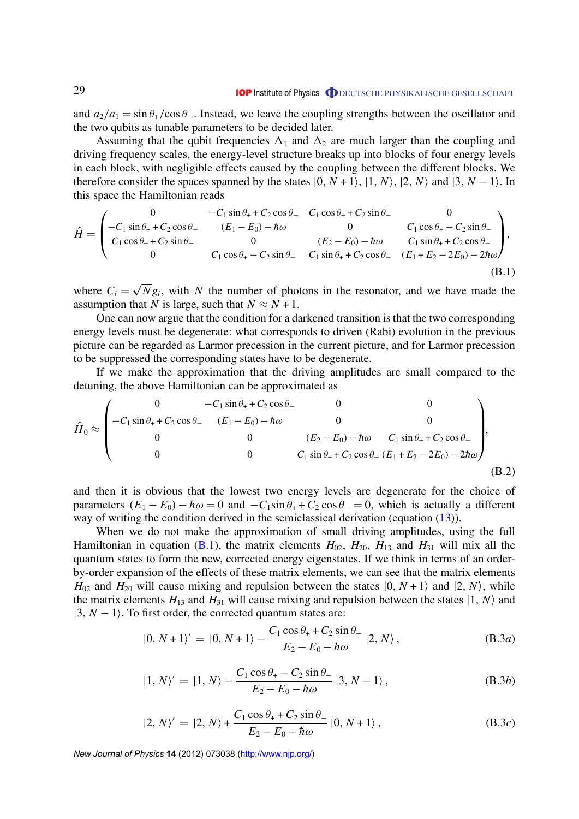and  $a_2/a_1 = \sin \theta_+ / \cos \theta_-$ . Instead, we leave the coupling strengths between the oscillator and the two qubits as tunable parameters to be decided later.

Assuming that the qubit frequencies  $\Delta_1$  and  $\Delta_2$  are much larger than the coupling and driving frequency scales, the energy-level structure breaks up into blocks of four energy levels in each block, with negligible effects caused by the coupling between the different blocks. We therefore consider the spaces spanned by the states  $|0, N+1\rangle$ ,  $|1, N\rangle$ ,  $|2, N\rangle$  and  $|3, N-1\rangle$ . In this space the Hamiltonian reads

$$
\hat{H} = \begin{pmatrix}\n0 & -C_1 \sin \theta_+ + C_2 \cos \theta_- & C_1 \cos \theta_+ + C_2 \sin \theta_- & 0 \\
-C_1 \sin \theta_+ + C_2 \cos \theta_- & (E_1 - E_0) - \hbar \omega & 0 & C_1 \cos \theta_+ - C_2 \sin \theta_- \\
C_1 \cos \theta_+ + C_2 \sin \theta_- & 0 & (E_2 - E_0) - \hbar \omega & C_1 \sin \theta_+ + C_2 \cos \theta_- \\
0 & C_1 \cos \theta_+ - C_2 \sin \theta_- & C_1 \sin \theta_+ + C_2 \cos \theta_- & (E_1 + E_2 - 2E_0) - 2\hbar \omega\n\end{pmatrix},
$$
\n(B.1)

where  $C_i =$ *N g<sup>i</sup>* , with *N* the number of photons in the resonator, and we have made the assumption that *N* is large, such that  $N \approx N + 1$ .

One can now argue that the condition for a darkened transition is that the two corresponding energy levels must be degenerate: what corresponds to driven (Rabi) evolution in the previous picture can be regarded as Larmor precession in the current picture, and for Larmor precession to be suppressed the corresponding states have to be degenerate.

If we make the approximation that the driving amplitudes are small compared to the detuning, the above Hamiltonian can be approximated as

$$
\hat{H}_0 \approx \begin{pmatrix}\n0 & -C_1 \sin \theta_+ + C_2 \cos \theta_- & 0 & 0 \\
-C_1 \sin \theta_+ + C_2 \cos \theta_- & (E_1 - E_0) - \hbar \omega & 0 & 0 \\
0 & 0 & (E_2 - E_0) - \hbar \omega & C_1 \sin \theta_+ + C_2 \cos \theta_- \\
0 & 0 & C_1 \sin \theta_+ + C_2 \cos \theta_- (E_1 + E_2 - 2E_0) - 2\hbar \omega\n\end{pmatrix},
$$
\n(B.2)

and then it is obvious that the lowest two energy levels are degenerate for the choice of parameters  $(E_1 - E_0) - \hbar \omega = 0$  and  $-C_1 \sin \theta_+ + C_2 \cos \theta_- = 0$ , which is actually a different way of writing the condition derived in the semiclassical derivation (equation [\(13\)](#page-7-0)).

When we do not make the approximation of small driving amplitudes, using the full Hamiltonian in equation (B.1), the matrix elements  $H_{02}$ ,  $H_{20}$ ,  $H_{13}$  and  $H_{31}$  will mix all the quantum states to form the new, corrected energy eigenstates. If we think in terms of an orderby-order expansion of the effects of these matrix elements, we can see that the matrix elements  $H_{02}$  and  $H_{20}$  will cause mixing and repulsion between the states  $|0, N+1\rangle$  and  $|2, N\rangle$ , while the matrix elements  $H_{13}$  and  $H_{31}$  will cause mixing and repulsion between the states  $|1, N\rangle$  and  $|3, N - 1\rangle$ . To first order, the corrected quantum states are:

$$
|0, N+1\rangle' = |0, N+1\rangle - \frac{C_1 \cos \theta_+ + C_2 \sin \theta_-}{E_2 - E_0 - \hbar \omega} |2, N\rangle, \tag{B.3a}
$$

$$
|1, N\rangle' = |1, N\rangle - \frac{C_1 \cos \theta_+ - C_2 \sin \theta_-}{E_2 - E_0 - \hbar \omega} |3, N - 1\rangle, \tag{B.3b}
$$

$$
|2, N\rangle' = |2, N\rangle + \frac{C_1 \cos \theta_+ + C_2 \sin \theta_-}{E_2 - E_0 - \hbar \omega} |0, N+1\rangle, \tag{B.3c}
$$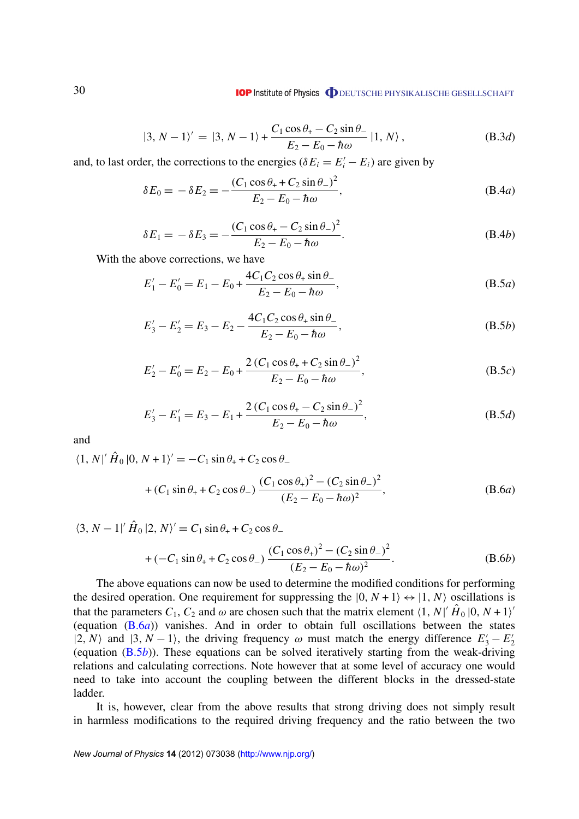#### **IOP** Institute of Physics **ODEUTSCHE PHYSIKALISCHE GESELLSCHAFT**

$$
|3, N - 1\rangle' = |3, N - 1\rangle + \frac{C_1 \cos \theta_+ - C_2 \sin \theta_-}{E_2 - E_0 - \hbar \omega} |1, N\rangle, \qquad (B.3d)
$$

<span id="page-30-0"></span>and, to last order, the corrections to the energies ( $\delta E_i = E'_i - E_i$ ) are given by

$$
\delta E_0 = -\delta E_2 = -\frac{(C_1 \cos \theta_+ + C_2 \sin \theta_-)^2}{E_2 - E_0 - \hbar \omega},
$$
\n(B.4*a*)

$$
\delta E_1 = -\delta E_3 = -\frac{(C_1 \cos \theta_+ - C_2 \sin \theta_-)^2}{E_2 - E_0 - \hbar \omega}.
$$
 (B.4b)

With the above corrections, we have

$$
E'_{1} - E'_{0} = E_{1} - E_{0} + \frac{4C_{1}C_{2}\cos\theta_{+}\sin\theta_{-}}{E_{2} - E_{0} - \hbar\omega},
$$
\n(B.5*a*)

$$
E'_3 - E'_2 = E_3 - E_2 - \frac{4C_1C_2\cos\theta_+ \sin\theta_-}{E_2 - E_0 - \hbar\omega},
$$
(B.5*b*)

$$
E'_{2} - E'_{0} = E_{2} - E_{0} + \frac{2(C_{1} \cos \theta_{+} + C_{2} \sin \theta_{-})^{2}}{E_{2} - E_{0} - \hbar \omega},
$$
(B.5*c*)

$$
E'_{3} - E'_{1} = E_{3} - E_{1} + \frac{2(C_{1}\cos\theta_{+} - C_{2}\sin\theta_{-})^{2}}{E_{2} - E_{0} - \hbar\omega},
$$
\n(B.5d)

and

 $\langle 1, N | \hat{H}_0 | 0, N + 1 \rangle' = -C_1 \sin \theta_+ + C_2 \cos \theta_-$ 

+ 
$$
(C_1 \sin \theta_+ + C_2 \cos \theta_-)
$$
  $\frac{(C_1 \cos \theta_+)^2 - (C_2 \sin \theta_-)^2}{(E_2 - E_0 - \hbar \omega)^2}$ , (B.6*a*)

 $\langle 3, N - 1 | \hat{H}_0 | 2, N \rangle' = C_1 \sin \theta_+ + C_2 \cos \theta_-$ 

+ 
$$
(-C_1 \sin \theta_+ + C_2 \cos \theta_-)
$$
  $\frac{(C_1 \cos \theta_+)^2 - (C_2 \sin \theta_-)^2}{(E_2 - E_0 - \hbar \omega)^2}$ . (B.6*b*)

The above equations can now be used to determine the modified conditions for performing the desired operation. One requirement for suppressing the  $|0, N + 1\rangle \leftrightarrow |1, N\rangle$  oscillations is that the parameters  $C_1$ ,  $C_2$  and  $\omega$  are chosen such that the matrix element  $\langle 1, N | \hat{H}_0 | 0, N+1 \rangle$ (equation (B.6*a*)) vanishes. And in order to obtain full oscillations between the states  $|2, N\rangle$  and  $|3, N - 1\rangle$ , the driving frequency  $\omega$  must match the energy difference  $E'_3 - E'_2$ 2 (equation (B.5*b*)). These equations can be solved iteratively starting from the weak-driving relations and calculating corrections. Note however that at some level of accuracy one would need to take into account the coupling between the different blocks in the dressed-state ladder.

It is, however, clear from the above results that strong driving does not simply result in harmless modifications to the required driving frequency and the ratio between the two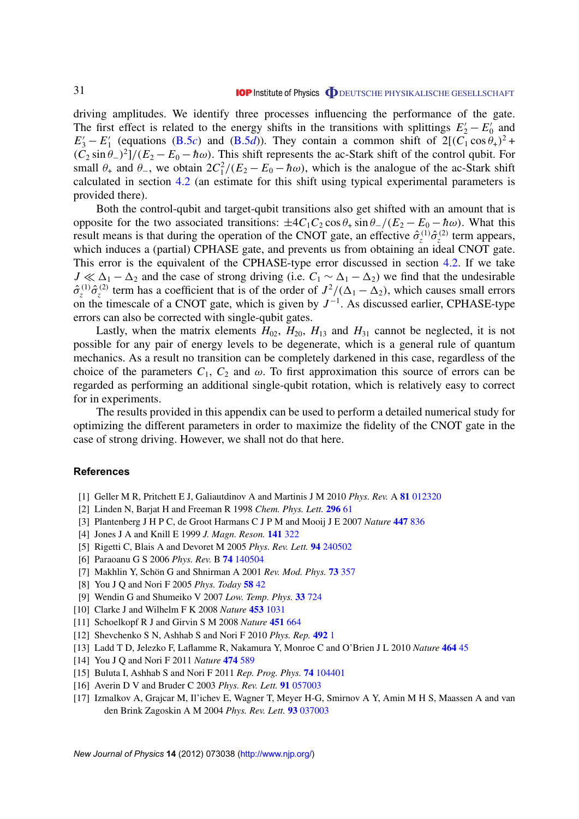<span id="page-31-0"></span>driving amplitudes. We identify three processes influencing the performance of the gate. The first effect is related to the energy shifts in the transitions with splittings  $E'_2 - E'_0$  $\frac{1}{0}$  and  $E'_3 - E'_1$  $\frac{1}{1}$  (equations [\(B.5](#page-30-0)*c*) and (B.5*d*)). They contain a common shift of  $2[(C_1 \cos \theta_+)^2 +$  $(\tilde{C}_2 \sin \theta_-)^2$   $[(E_2 - E_0 - \hbar \omega)$ . This shift represents the ac-Stark shift of the control qubit. For small  $\theta_+$  and  $\theta_-$ , we obtain  $2C_1^2/(E_2 - E_0 - \hbar\omega)$ , which is the analogue of the ac-Stark shift calculated in section [4.2](#page-11-0) (an estimate for this shift using typical experimental parameters is provided there).

Both the control-qubit and target-qubit transitions also get shifted with an amount that is opposite for the two associated transitions:  $\pm 4C_1C_2 \cos\theta_+ \sin\theta_-/(E_2 - E_0 - \hbar\omega)$ . What this result means is that during the operation of the CNOT gate, an effective  $\hat{\sigma}_z^{(1)}\hat{\sigma}_z^{(2)}$  term appears, which induces a (partial) CPHASE gate, and prevents us from obtaining an ideal CNOT gate. This error is the equivalent of the CPHASE-type error discussed in section [4.2.](#page-11-0) If we take  $J \ll \Delta_1 - \Delta_2$  and the case of strong driving (i.e.  $C_1 \sim \Delta_1 - \Delta_2$ ) we find that the undesirable  $\hat{\sigma}_z^{(1)}\hat{\sigma}_z^{(2)}$  term has a coefficient that is of the order of  $J^2/(\Delta_1-\Delta_2)$ , which causes small errors on the timescale of a CNOT gate, which is given by  $J^{-1}$ . As discussed earlier, CPHASE-type errors can also be corrected with single-qubit gates.

Lastly, when the matrix elements  $H_{02}$ ,  $H_{20}$ ,  $H_{13}$  and  $H_{31}$  cannot be neglected, it is not possible for any pair of energy levels to be degenerate, which is a general rule of quantum mechanics. As a result no transition can be completely darkened in this case, regardless of the choice of the parameters  $C_1$ ,  $C_2$  and  $\omega$ . To first approximation this source of errors can be regarded as performing an additional single-qubit rotation, which is relatively easy to correct for in experiments.

The results provided in this appendix can be used to perform a detailed numerical study for optimizing the different parameters in order to maximize the fidelity of the CNOT gate in the case of strong driving. However, we shall not do that here.

#### **References**

- [1] Geller M R, Pritchett E J, Galiautdinov A and Martinis J M 2010 *Phys. Rev.* A **81** [012320](http://dx.doi.org/10.1103/PhysRevA.81.012320)
- [2] Linden N, Barjat H and Freeman R 1998 *Chem. Phys. Lett.* **[296](http://dx.doi.org/10.1016/S0009-2614(98)01015-X)** 61
- [3] Plantenberg J H P C, de Groot Harmans C J P M and Mooij J E 2007 *Nature* **447** [836](http://dx.doi.org/10.1038/nature05896)
- [4] Jones J A and Knill E 1999 *J. Magn. Reson.* **141** [322](http://dx.doi.org/10.1006/jmre.1999.1890)
- [5] Rigetti C, Blais A and Devoret M 2005 *Phys. Rev. Lett.* **94** [240502](http://dx.doi.org/10.1103/PhysRevLett.94.240502)
- [6] Paraoanu G S 2006 *Phys. Rev.* B **74** [140504](http://dx.doi.org/10.1103/PhysRevB.74.140504)
- [7] Makhlin Y, Schön G and Shnirman A 2001 *Rev. Mod. Phys.* **73** [357](http://dx.doi.org/10.1103/RevModPhys.73.357)
- [8] You J Q and Nori F 2005 *Phys. Today* **58** [42](http://dx.doi.org/10.1063/1.2155757)
- [9] Wendin G and Shumeiko V 2007 *Low. Temp. Phys.* **33** [724](http://dx.doi.org/10.1063/1.2780165)
- [10] Clarke J and Wilhelm F K 2008 *Nature* **453** [1031](http://dx.doi.org/10.1038/nature07128)
- [11] Schoelkopf R J and Girvin S M 2008 *Nature* **[451](http://dx.doi.org/10.1038/451664a)** 664
- [12] Shevchenko S N, Ashhab S and Nori F 2010 *Phys. Rep.* **[492](http://dx.doi.org/10.1016/j.physrep.2010.03.002)** 1
- [13] Ladd T D, Jelezko F, Laflamme R, Nakamura Y, Monroe C and O'Brien J L 2010 *Nature* **[464](http://dx.doi.org/10.1038/nature08812)** 45
- [14] You J Q and Nori F 2011 *Nature* **474** [589](http://dx.doi.org/10.1038/nature10122)
- [15] Buluta I, Ashhab S and Nori F 2011 *Rep. Prog. Phys.* **74** [104401](http://dx.doi.org/10.1088/0034-4885/74/10/104401)
- [16] Averin D V and Bruder C 2003 *Phys. Rev. Lett.* **91** [057003](http://dx.doi.org/10.1103/PhysRevLett.91.057003)
- [17] Izmalkov A, Grajcar M, Il'ichev E, Wagner T, Meyer H-G, Smirnov A Y, Amin M H S, Maassen A and van den Brink Zagoskin A M 2004 *Phys. Rev. Lett.* **93** [037003](http://dx.doi.org/10.1103/PhysRevLett.93.037003)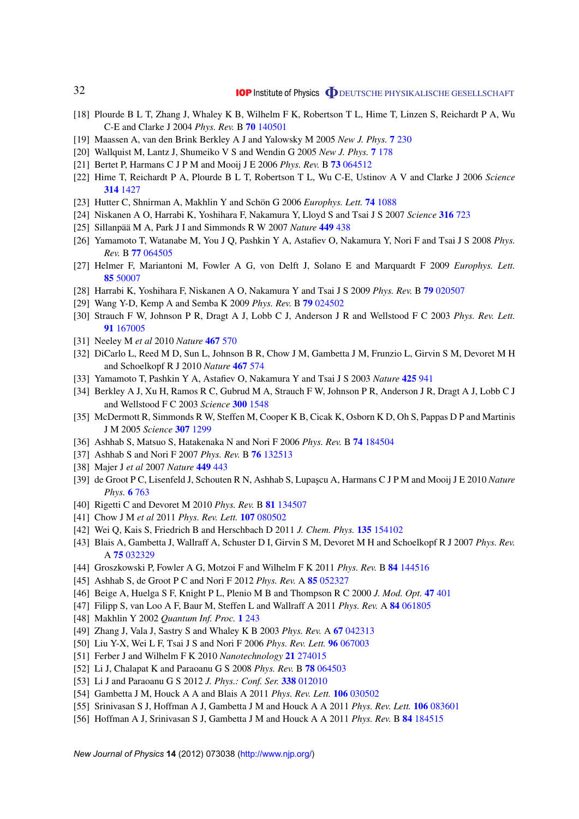- <span id="page-32-0"></span>[18] Plourde B L T, Zhang J, Whaley K B, Wilhelm F K, Robertson T L, Hime T, Linzen S, Reichardt P A, Wu C-E and Clarke J 2004 *Phys. Rev.* B **70** [140501](http://dx.doi.org/10.1103/PhysRevB.70.140501)
- [19] Maassen A, van den Brink Berkley A J and Yalowsky M 2005 *New J. Phys.* **7** [230](http://dx.doi.org/10.1088/1367-2630/7/1/230)
- [20] Wallquist M, Lantz J, Shumeiko V S and Wendin G 2005 *New J. Phys.* **7** [178](http://dx.doi.org/10.1088/1367-2630/7/1/178)
- [21] Bertet P, Harmans C J P M and Mooij J E 2006 *Phys. Rev.* B **73** [064512](http://dx.doi.org/10.1103/PhysRevB.73.064512)
- [22] Hime T, Reichardt P A, Plourde B L T, Robertson T L, Wu C-E, Ustinov A V and Clarke J 2006 *Science* **314** [1427](http://dx.doi.org/10.1126/science.1134388)
- [23] Hutter C, Shnirman A, Makhlin Y and Schön G 2006 Europhys. Lett. **74** [1088](http://dx.doi.org/10.1209/epl/i2006-10054-4)
- [24] Niskanen A O, Harrabi K, Yoshihara F, Nakamura Y, Lloyd S and Tsai J S 2007 *Science* **316** [723](http://dx.doi.org/10.1126/science.1141324)
- [25] Sillanpää M A, Park J I and Simmonds R W 2007 Nature 449 [438](http://dx.doi.org/10.1038/nature06124)
- [26] Yamamoto T, Watanabe M, You J Q, Pashkin Y A, Astafiev O, Nakamura Y, Nori F and Tsai J S 2008 *Phys. Rev.* B **77** [064505](http://dx.doi.org/10.1103/PhysRevB.77.064505)
- [27] Helmer F, Mariantoni M, Fowler A G, von Delft J, Solano E and Marquardt F 2009 *Europhys. Lett.* **85** [50007](http://dx.doi.org/10.1209/0295-5075/85/50007)
- [28] Harrabi K, Yoshihara F, Niskanen A O, Nakamura Y and Tsai J S 2009 *Phys. Rev.* B **79** [020507](http://dx.doi.org/10.1103/PhysRevB.79.020507)
- [29] Wang Y-D, Kemp A and Semba K 2009 *Phys. Rev.* B **79** [024502](http://dx.doi.org/10.1103/PhysRevB.79.024502)
- [30] Strauch F W, Johnson P R, Dragt A J, Lobb C J, Anderson J R and Wellstood F C 2003 *Phys. Rev. Lett.* **91** [167005](http://dx.doi.org/10.1103/PhysRevLett.91.167005)
- [31] Neeley M *et al* 2010 *Nature* **467** [570](http://dx.doi.org/10.1038/nature09418)
- [32] DiCarlo L, Reed M D, Sun L, Johnson B R, Chow J M, Gambetta J M, Frunzio L, Girvin S M, Devoret M H and Schoelkopf R J 2010 *Nature* **467** [574](http://dx.doi.org/10.1038/nature09416)
- [33] Yamamoto T, Pashkin Y A, Astafiev O, Nakamura Y and Tsai J S 2003 *Nature* **425** [941](http://dx.doi.org/10.1038/nature02015)
- [34] Berkley A J, Xu H, Ramos R C, Gubrud M A, Strauch F W, Johnson P R, Anderson J R, Dragt A J, Lobb C J and Wellstood F C 2003 *Science* **300** [1548](http://dx.doi.org/10.1126/science.1084528)
- [35] McDermott R, Simmonds R W, Steffen M, Cooper K B, Cicak K, Osborn K D, Oh S, Pappas D P and Martinis J M 2005 *Science* **307** [1299](http://dx.doi.org/10.1126/science.1107572)
- [36] Ashhab S, Matsuo S, Hatakenaka N and Nori F 2006 *Phys. Rev.* B **74** [184504](http://dx.doi.org/10.1103/PhysRevB.74.184504)
- [37] Ashhab S and Nori F 2007 *Phys. Rev.* B **76** [132513](http://dx.doi.org/10.1103/PhysRevB.76.132513)
- [38] Majer J *et al* 2007 *Nature* **449** [443](http://dx.doi.org/10.1038/nature06184)
- [39] de Groot P C, Lisenfeld J, Schouten R N, Ashhab S, Lupaşcu A, Harmans C J P M and Mooij J E 2010 *Nature Phys.* **6** [763](http://dx.doi.org/10.1038/nphys1733)
- [40] Rigetti C and Devoret M 2010 *Phys. Rev.* B **81** [134507](http://dx.doi.org/10.1103/PhysRevB.81.134507)
- [41] Chow J M *et al* 2011 *Phys. Rev. Lett.* **107** [080502](http://dx.doi.org/10.1103/PhysRevLett.107.080502)
- [42] Wei Q, Kais S, Friedrich B and Herschbach D 2011 *J. Chem. Phys.* **135** [154102](http://dx.doi.org/10.1063/1.3649949)
- [43] Blais A, Gambetta J, Wallraff A, Schuster D I, Girvin S M, Devoret M H and Schoelkopf R J 2007 *Phys. Rev.* A **75** [032329](http://dx.doi.org/10.1103/PhysRevA.75.032329)
- [44] Groszkowski P, Fowler A G, Motzoi F and Wilhelm F K 2011 *Phys. Rev.* B **84** [144516](http://dx.doi.org/10.1103/PhysRevB.84.144516)
- [45] Ashhab S, de Groot P C and Nori F 2012 *Phys. Rev.* A **85** [052327](http://dx.doi.org/10.1103/PhysRevA.85.052327)
- [46] Beige A, Huelga S F, Knight P L, Plenio M B and Thompson R C 2000 *J. Mod. Opt.* **47** [401](http://www.tandfonline.com/doi/abs/10.1080/09500340008244051)
- [47] Filipp S, van Loo A F, Baur M, Steffen L and Wallraff A 2011 *Phys. Rev.* A **84** [061805](http://dx.doi.org/10.1103/PhysRevA.84.061805)
- [48] Makhlin Y 2002 *Quantum Inf. Proc.* **1** [243](http://dx.doi.org/10.1023/A:1022144002391)
- [49] Zhang J, Vala J, Sastry S and Whaley K B 2003 *Phys. Rev.* A **67** [042313](http://dx.doi.org/10.1103/PhysRevA.67.042313)
- [50] Liu Y-X, Wei L F, Tsai J S and Nori F 2006 *Phys. Rev. Lett.* **96** [067003](http://dx.doi.org/10.1103/PhysRevLett.96.067003)
- [51] Ferber J and Wilhelm F K 2010 *Nanotechnology* **21** [274015](http://dx.doi.org/10.1088/0957-4484/21/27/274015)
- [52] Li J, Chalapat K and Paraoanu G S 2008 *Phys. Rev.* B **78** [064503](http://dx.doi.org/10.1103/PhysRevB.78.064503)
- [53] Li J and Paraoanu G S 2012 *J. Phys.: Conf. Ser.* **338** [012010](http://dx.doi.org/10.1088/1742-6596/338/1/012010)
- [54] Gambetta J M, Houck A A and Blais A 2011 *Phys. Rev. Lett.* **106** [030502](http://dx.doi.org/10.1103/PhysRevLett.106.030502)
- [55] Srinivasan S J, Hoffman A J, Gambetta J M and Houck A A 2011 *Phys. Rev. Lett.* **106** [083601](http://dx.doi.org/10.1103/PhysRevLett.106.083601)
- [56] Hoffman A J, Srinivasan S J, Gambetta J M and Houck A A 2011 *Phys. Rev.* B **84** [184515](http://dx.doi.org/10.1103/PhysRevB.84.184515)